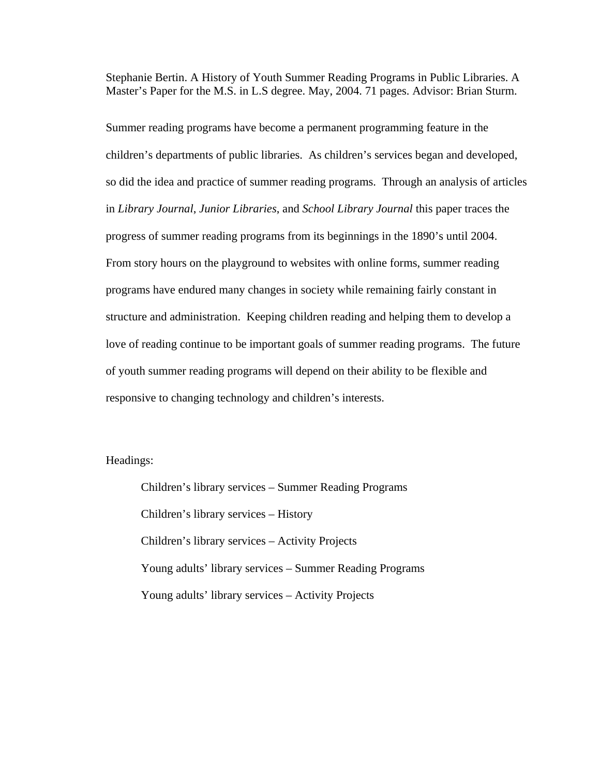Stephanie Bertin. A History of Youth Summer Reading Programs in Public Libraries. A Master's Paper for the M.S. in L.S degree. May, 2004. 71 pages. Advisor: Brian Sturm.

Summer reading programs have become a permanent programming feature in the children's departments of public libraries. As children's services began and developed, so did the idea and practice of summer reading programs. Through an analysis of articles in *Library Journal*, *Junior Libraries*, and *School Library Journal* this paper traces the progress of summer reading programs from its beginnings in the 1890's until 2004. From story hours on the playground to websites with online forms, summer reading programs have endured many changes in society while remaining fairly constant in structure and administration. Keeping children reading and helping them to develop a love of reading continue to be important goals of summer reading programs. The future of youth summer reading programs will depend on their ability to be flexible and responsive to changing technology and children's interests.

Headings:

Children's library services – Summer Reading Programs Children's library services – History Children's library services – Activity Projects Young adults' library services – Summer Reading Programs Young adults' library services – Activity Projects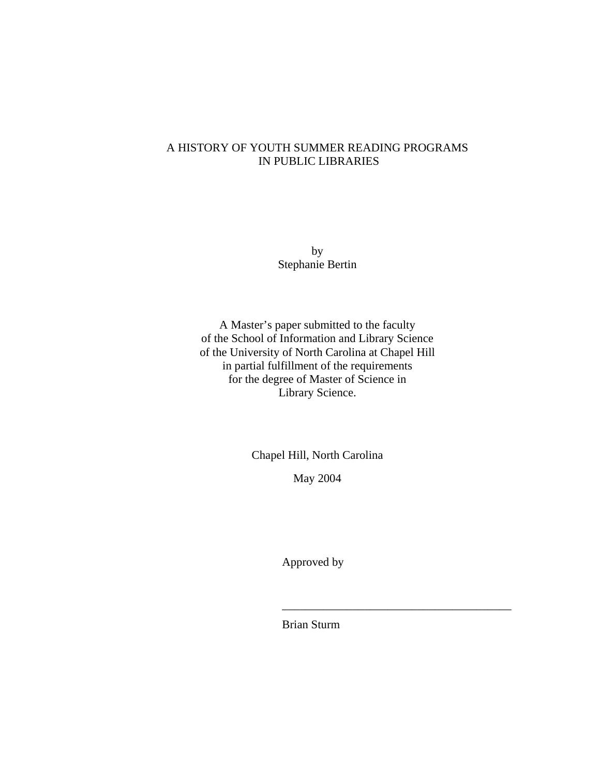# A HISTORY OF YOUTH SUMMER READING PROGRAMS IN PUBLIC LIBRARIES

by Stephanie Bertin

A Master's paper submitted to the faculty of the School of Information and Library Science of the University of North Carolina at Chapel Hill in partial fulfillment of the requirements for the degree of Master of Science in Library Science.

Chapel Hill, North Carolina

May 2004

Approved by

Brian Sturm

\_\_\_\_\_\_\_\_\_\_\_\_\_\_\_\_\_\_\_\_\_\_\_\_\_\_\_\_\_\_\_\_\_\_\_\_\_\_\_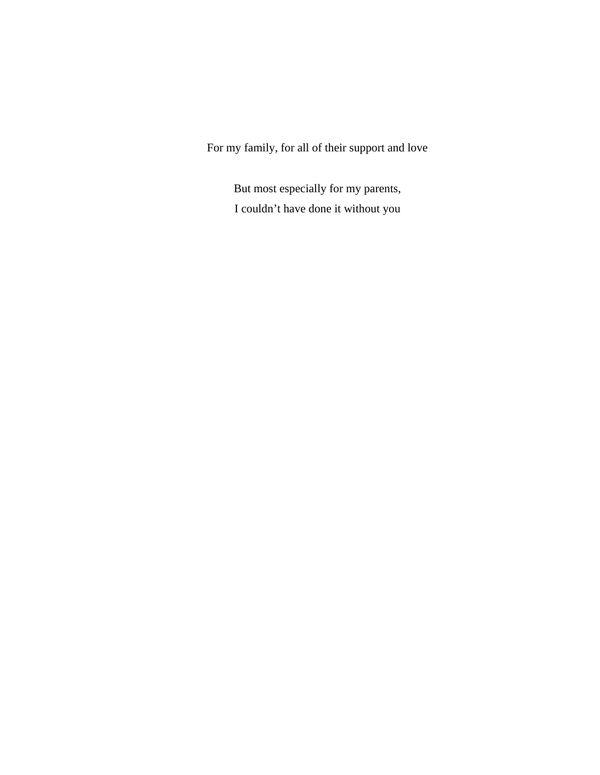For my family, for all of their support and love

But most especially for my parents, I couldn't have done it without you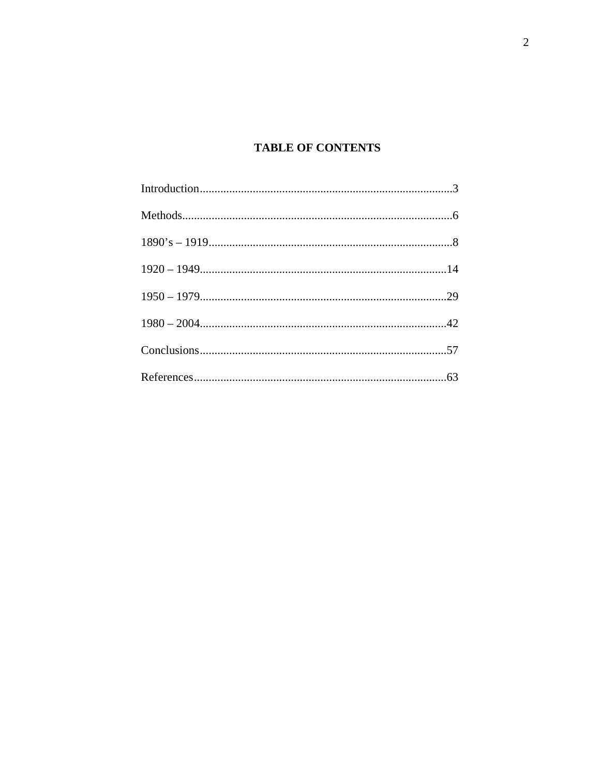# **TABLE OF CONTENTS**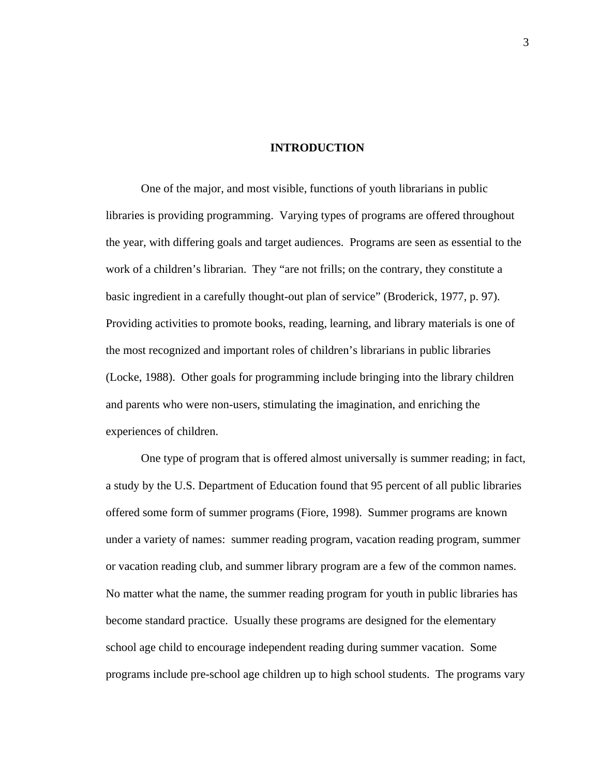### **INTRODUCTION**

 One of the major, and most visible, functions of youth librarians in public libraries is providing programming. Varying types of programs are offered throughout the year, with differing goals and target audiences. Programs are seen as essential to the work of a children's librarian. They "are not frills; on the contrary, they constitute a basic ingredient in a carefully thought-out plan of service" (Broderick, 1977, p. 97). Providing activities to promote books, reading, learning, and library materials is one of the most recognized and important roles of children's librarians in public libraries (Locke, 1988). Other goals for programming include bringing into the library children and parents who were non-users, stimulating the imagination, and enriching the experiences of children.

One type of program that is offered almost universally is summer reading; in fact, a study by the U.S. Department of Education found that 95 percent of all public libraries offered some form of summer programs (Fiore, 1998). Summer programs are known under a variety of names: summer reading program, vacation reading program, summer or vacation reading club, and summer library program are a few of the common names. No matter what the name, the summer reading program for youth in public libraries has become standard practice. Usually these programs are designed for the elementary school age child to encourage independent reading during summer vacation. Some programs include pre-school age children up to high school students. The programs vary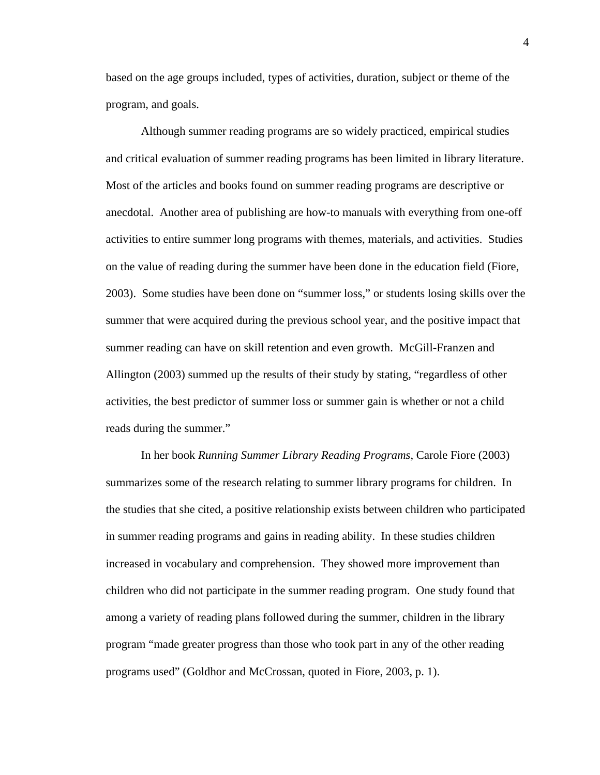based on the age groups included, types of activities, duration, subject or theme of the program, and goals.

Although summer reading programs are so widely practiced, empirical studies and critical evaluation of summer reading programs has been limited in library literature. Most of the articles and books found on summer reading programs are descriptive or anecdotal. Another area of publishing are how-to manuals with everything from one-off activities to entire summer long programs with themes, materials, and activities. Studies on the value of reading during the summer have been done in the education field (Fiore, 2003). Some studies have been done on "summer loss," or students losing skills over the summer that were acquired during the previous school year, and the positive impact that summer reading can have on skill retention and even growth. McGill-Franzen and Allington (2003) summed up the results of their study by stating, "regardless of other activities, the best predictor of summer loss or summer gain is whether or not a child reads during the summer."

In her book *Running Summer Library Reading Programs*, Carole Fiore (2003) summarizes some of the research relating to summer library programs for children. In the studies that she cited, a positive relationship exists between children who participated in summer reading programs and gains in reading ability. In these studies children increased in vocabulary and comprehension. They showed more improvement than children who did not participate in the summer reading program. One study found that among a variety of reading plans followed during the summer, children in the library program "made greater progress than those who took part in any of the other reading programs used" (Goldhor and McCrossan, quoted in Fiore, 2003, p. 1).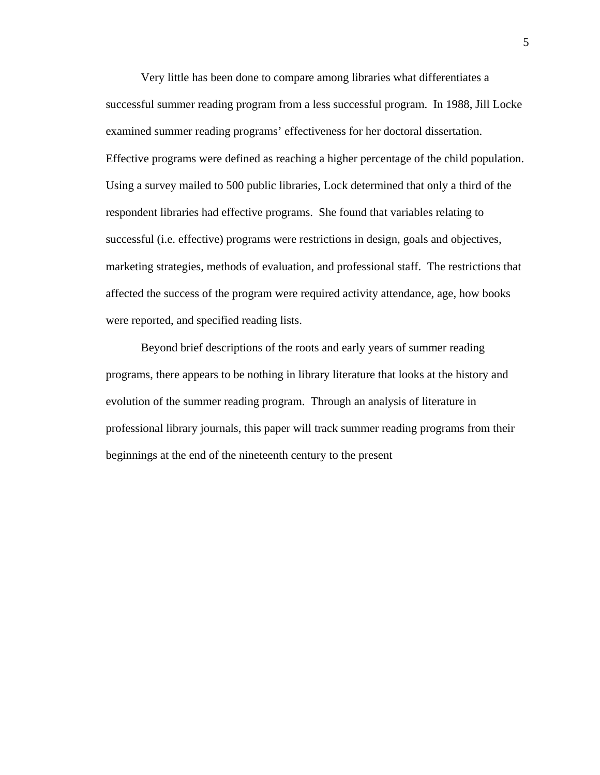Very little has been done to compare among libraries what differentiates a successful summer reading program from a less successful program. In 1988, Jill Locke examined summer reading programs' effectiveness for her doctoral dissertation. Effective programs were defined as reaching a higher percentage of the child population. Using a survey mailed to 500 public libraries, Lock determined that only a third of the respondent libraries had effective programs. She found that variables relating to successful (i.e. effective) programs were restrictions in design, goals and objectives, marketing strategies, methods of evaluation, and professional staff. The restrictions that affected the success of the program were required activity attendance, age, how books were reported, and specified reading lists.

Beyond brief descriptions of the roots and early years of summer reading programs, there appears to be nothing in library literature that looks at the history and evolution of the summer reading program. Through an analysis of literature in professional library journals, this paper will track summer reading programs from their beginnings at the end of the nineteenth century to the present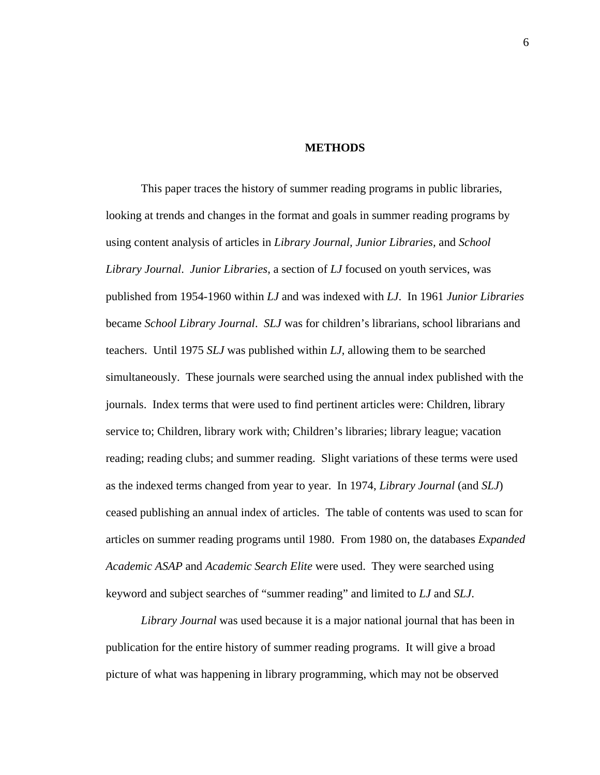#### **METHODS**

This paper traces the history of summer reading programs in public libraries, looking at trends and changes in the format and goals in summer reading programs by using content analysis of articles in *Library Journal, Junior Libraries,* and *School Library Journal*. *Junior Libraries*, a section of *LJ* focused on youth services, was published from 1954-1960 within *LJ* and was indexed with *LJ*. In 1961 *Junior Libraries*  became *School Library Journal*. *SLJ* was for children's librarians, school librarians and teachers. Until 1975 *SLJ* was published within *LJ*, allowing them to be searched simultaneously. These journals were searched using the annual index published with the journals. Index terms that were used to find pertinent articles were: Children, library service to; Children, library work with; Children's libraries; library league; vacation reading; reading clubs; and summer reading. Slight variations of these terms were used as the indexed terms changed from year to year. In 1974, *Library Journal* (and *SLJ*) ceased publishing an annual index of articles. The table of contents was used to scan for articles on summer reading programs until 1980. From 1980 on, the databases *Expanded Academic ASAP* and *Academic Search Elite* were used. They were searched using keyword and subject searches of "summer reading" and limited to *LJ* and *SLJ*.

*Library Journal* was used because it is a major national journal that has been in publication for the entire history of summer reading programs. It will give a broad picture of what was happening in library programming, which may not be observed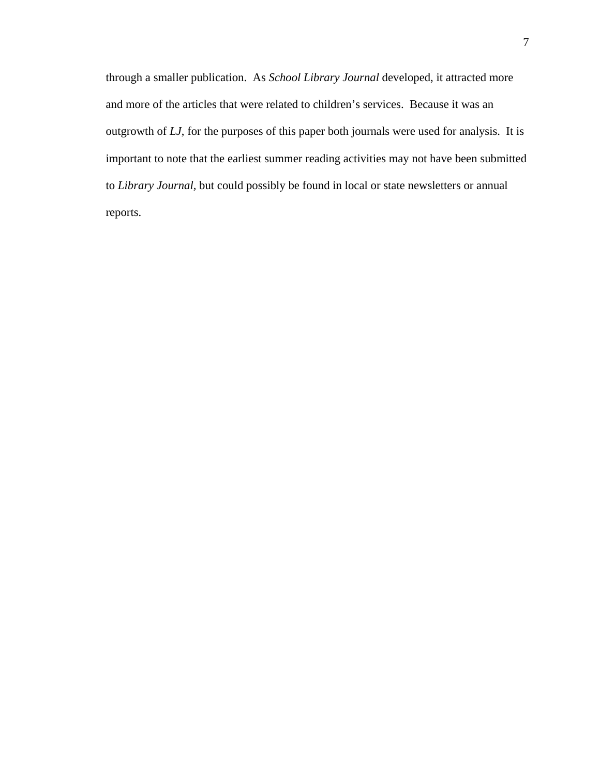through a smaller publication. As *School Library Journal* developed, it attracted more and more of the articles that were related to children's services. Because it was an outgrowth of *LJ*, for the purposes of this paper both journals were used for analysis. It is important to note that the earliest summer reading activities may not have been submitted to *Library Journal,* but could possibly be found in local or state newsletters or annual reports.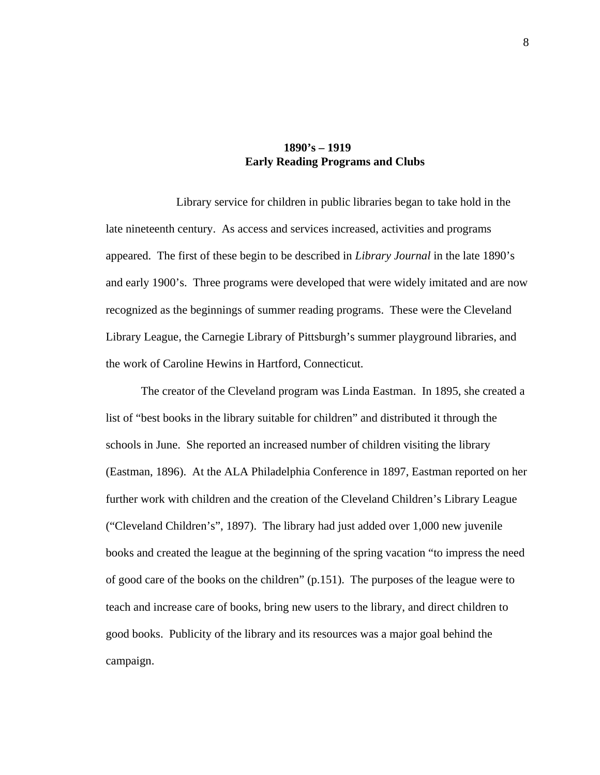# **1890's – 1919 Early Reading Programs and Clubs**

 Library service for children in public libraries began to take hold in the late nineteenth century. As access and services increased, activities and programs appeared. The first of these begin to be described in *Library Journal* in the late 1890's and early 1900's. Three programs were developed that were widely imitated and are now recognized as the beginnings of summer reading programs. These were the Cleveland Library League, the Carnegie Library of Pittsburgh's summer playground libraries, and the work of Caroline Hewins in Hartford, Connecticut.

The creator of the Cleveland program was Linda Eastman. In 1895, she created a list of "best books in the library suitable for children" and distributed it through the schools in June. She reported an increased number of children visiting the library (Eastman, 1896). At the ALA Philadelphia Conference in 1897, Eastman reported on her further work with children and the creation of the Cleveland Children's Library League ("Cleveland Children's", 1897). The library had just added over 1,000 new juvenile books and created the league at the beginning of the spring vacation "to impress the need of good care of the books on the children" (p.151). The purposes of the league were to teach and increase care of books, bring new users to the library, and direct children to good books. Publicity of the library and its resources was a major goal behind the campaign.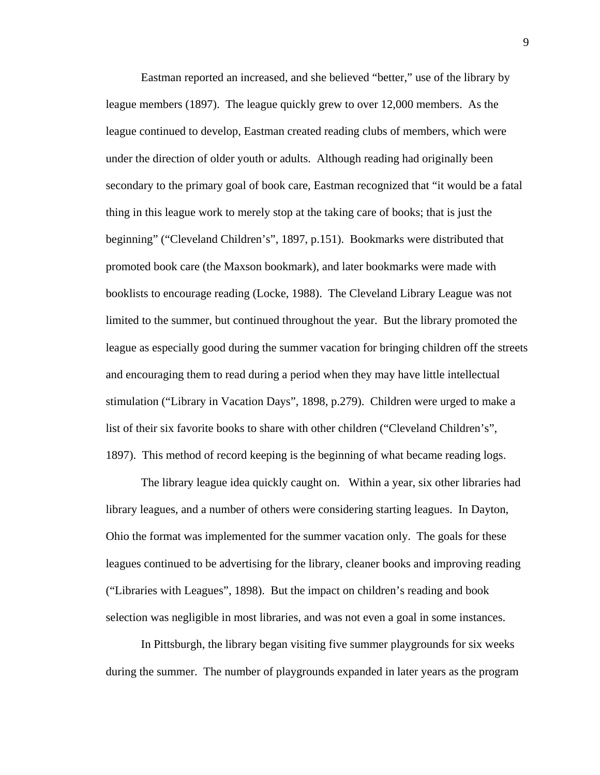Eastman reported an increased, and she believed "better," use of the library by league members (1897). The league quickly grew to over 12,000 members. As the league continued to develop, Eastman created reading clubs of members, which were under the direction of older youth or adults. Although reading had originally been secondary to the primary goal of book care, Eastman recognized that "it would be a fatal thing in this league work to merely stop at the taking care of books; that is just the beginning" ("Cleveland Children's", 1897, p.151). Bookmarks were distributed that promoted book care (the Maxson bookmark), and later bookmarks were made with booklists to encourage reading (Locke, 1988). The Cleveland Library League was not limited to the summer, but continued throughout the year. But the library promoted the league as especially good during the summer vacation for bringing children off the streets and encouraging them to read during a period when they may have little intellectual stimulation ("Library in Vacation Days", 1898, p.279). Children were urged to make a list of their six favorite books to share with other children ("Cleveland Children's", 1897). This method of record keeping is the beginning of what became reading logs.

The library league idea quickly caught on. Within a year, six other libraries had library leagues, and a number of others were considering starting leagues. In Dayton, Ohio the format was implemented for the summer vacation only. The goals for these leagues continued to be advertising for the library, cleaner books and improving reading ("Libraries with Leagues", 1898). But the impact on children's reading and book selection was negligible in most libraries, and was not even a goal in some instances.

In Pittsburgh, the library began visiting five summer playgrounds for six weeks during the summer. The number of playgrounds expanded in later years as the program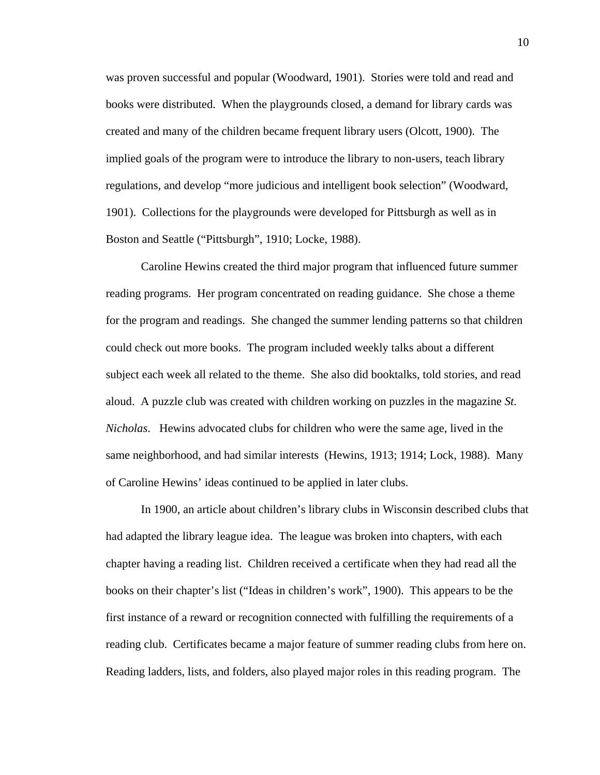was proven successful and popular (Woodward, 1901). Stories were told and read and books were distributed. When the playgrounds closed, a demand for library cards was created and many of the children became frequent library users (Olcott, 1900). The implied goals of the program were to introduce the library to non-users, teach library regulations, and develop "more judicious and intelligent book selection" (Woodward, 1901). Collections for the playgrounds were developed for Pittsburgh as well as in Boston and Seattle ("Pittsburgh", 1910; Locke, 1988).

Caroline Hewins created the third major program that influenced future summer reading programs. Her program concentrated on reading guidance. She chose a theme for the program and readings. She changed the summer lending patterns so that children could check out more books. The program included weekly talks about a different subject each week all related to the theme. She also did booktalks, told stories, and read aloud. A puzzle club was created with children working on puzzles in the magazine *St. Nicholas*. Hewins advocated clubs for children who were the same age, lived in the same neighborhood, and had similar interests (Hewins, 1913; 1914; Lock, 1988). Many of Caroline Hewins' ideas continued to be applied in later clubs.

In 1900, an article about children's library clubs in Wisconsin described clubs that had adapted the library league idea. The league was broken into chapters, with each chapter having a reading list. Children received a certificate when they had read all the books on their chapter's list ("Ideas in children's work", 1900). This appears to be the first instance of a reward or recognition connected with fulfilling the requirements of a reading club. Certificates became a major feature of summer reading clubs from here on. Reading ladders, lists, and folders, also played major roles in this reading program. The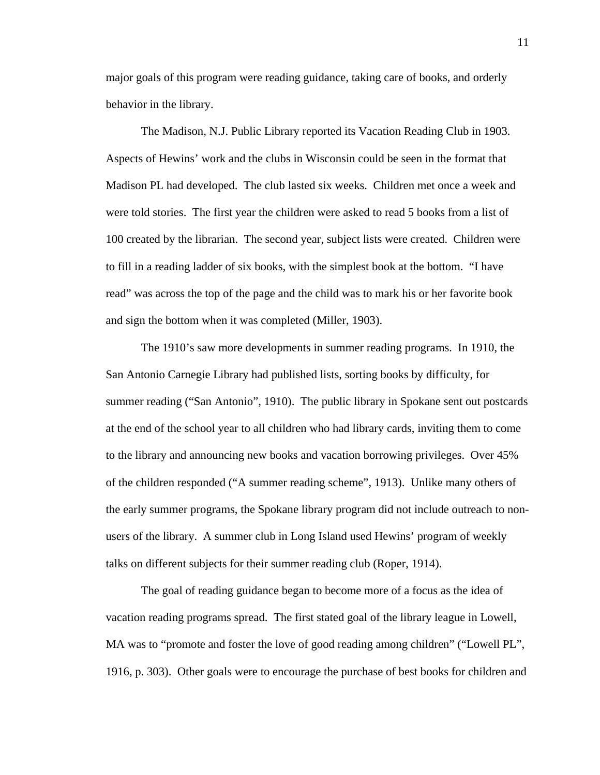major goals of this program were reading guidance, taking care of books, and orderly behavior in the library.

The Madison, N.J. Public Library reported its Vacation Reading Club in 1903. Aspects of Hewins' work and the clubs in Wisconsin could be seen in the format that Madison PL had developed. The club lasted six weeks. Children met once a week and were told stories. The first year the children were asked to read 5 books from a list of 100 created by the librarian. The second year, subject lists were created. Children were to fill in a reading ladder of six books, with the simplest book at the bottom. "I have read" was across the top of the page and the child was to mark his or her favorite book and sign the bottom when it was completed (Miller, 1903).

The 1910's saw more developments in summer reading programs. In 1910, the San Antonio Carnegie Library had published lists, sorting books by difficulty, for summer reading ("San Antonio", 1910). The public library in Spokane sent out postcards at the end of the school year to all children who had library cards, inviting them to come to the library and announcing new books and vacation borrowing privileges. Over 45% of the children responded ("A summer reading scheme", 1913). Unlike many others of the early summer programs, the Spokane library program did not include outreach to nonusers of the library. A summer club in Long Island used Hewins' program of weekly talks on different subjects for their summer reading club (Roper, 1914).

The goal of reading guidance began to become more of a focus as the idea of vacation reading programs spread. The first stated goal of the library league in Lowell, MA was to "promote and foster the love of good reading among children" ("Lowell PL", 1916, p. 303). Other goals were to encourage the purchase of best books for children and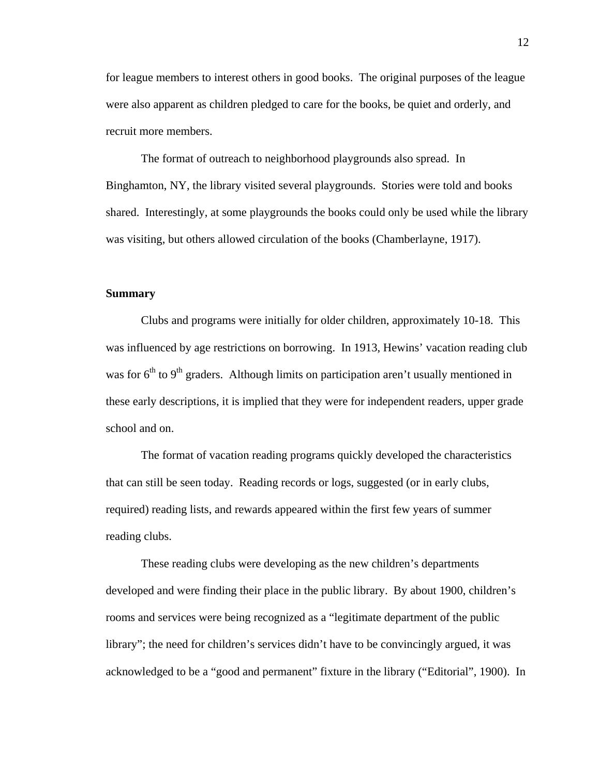for league members to interest others in good books. The original purposes of the league were also apparent as children pledged to care for the books, be quiet and orderly, and recruit more members.

The format of outreach to neighborhood playgrounds also spread. In Binghamton, NY, the library visited several playgrounds. Stories were told and books shared. Interestingly, at some playgrounds the books could only be used while the library was visiting, but others allowed circulation of the books (Chamberlayne, 1917).

## **Summary**

Clubs and programs were initially for older children, approximately 10-18. This was influenced by age restrictions on borrowing. In 1913, Hewins' vacation reading club was for  $6<sup>th</sup>$  to  $9<sup>th</sup>$  graders. Although limits on participation aren't usually mentioned in these early descriptions, it is implied that they were for independent readers, upper grade school and on.

The format of vacation reading programs quickly developed the characteristics that can still be seen today. Reading records or logs, suggested (or in early clubs, required) reading lists, and rewards appeared within the first few years of summer reading clubs.

These reading clubs were developing as the new children's departments developed and were finding their place in the public library. By about 1900, children's rooms and services were being recognized as a "legitimate department of the public library"; the need for children's services didn't have to be convincingly argued, it was acknowledged to be a "good and permanent" fixture in the library ("Editorial", 1900). In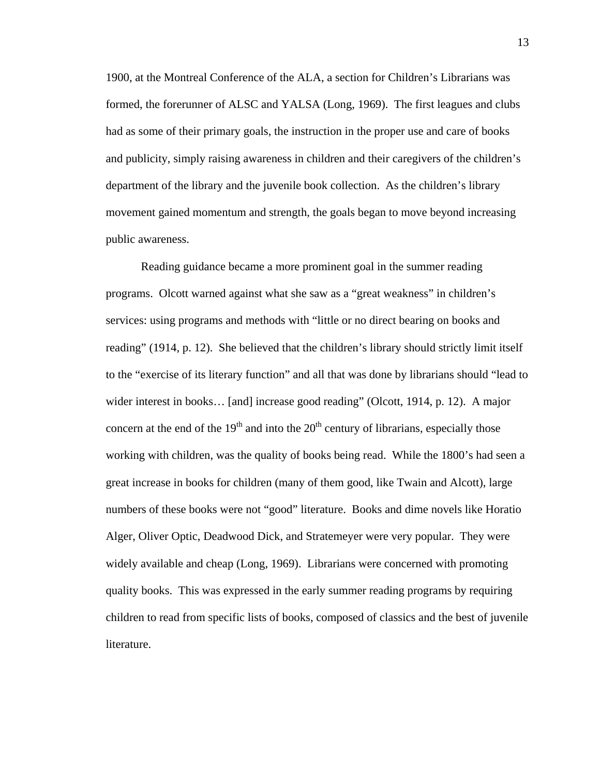1900, at the Montreal Conference of the ALA, a section for Children's Librarians was formed, the forerunner of ALSC and YALSA (Long, 1969). The first leagues and clubs had as some of their primary goals, the instruction in the proper use and care of books and publicity, simply raising awareness in children and their caregivers of the children's department of the library and the juvenile book collection. As the children's library movement gained momentum and strength, the goals began to move beyond increasing public awareness.

Reading guidance became a more prominent goal in the summer reading programs. Olcott warned against what she saw as a "great weakness" in children's services: using programs and methods with "little or no direct bearing on books and reading" (1914, p. 12). She believed that the children's library should strictly limit itself to the "exercise of its literary function" and all that was done by librarians should "lead to wider interest in books... [and] increase good reading" (Olcott, 1914, p. 12). A major concern at the end of the  $19<sup>th</sup>$  and into the  $20<sup>th</sup>$  century of librarians, especially those working with children, was the quality of books being read. While the 1800's had seen a great increase in books for children (many of them good, like Twain and Alcott), large numbers of these books were not "good" literature. Books and dime novels like Horatio Alger, Oliver Optic, Deadwood Dick, and Stratemeyer were very popular. They were widely available and cheap (Long, 1969). Librarians were concerned with promoting quality books. This was expressed in the early summer reading programs by requiring children to read from specific lists of books, composed of classics and the best of juvenile literature.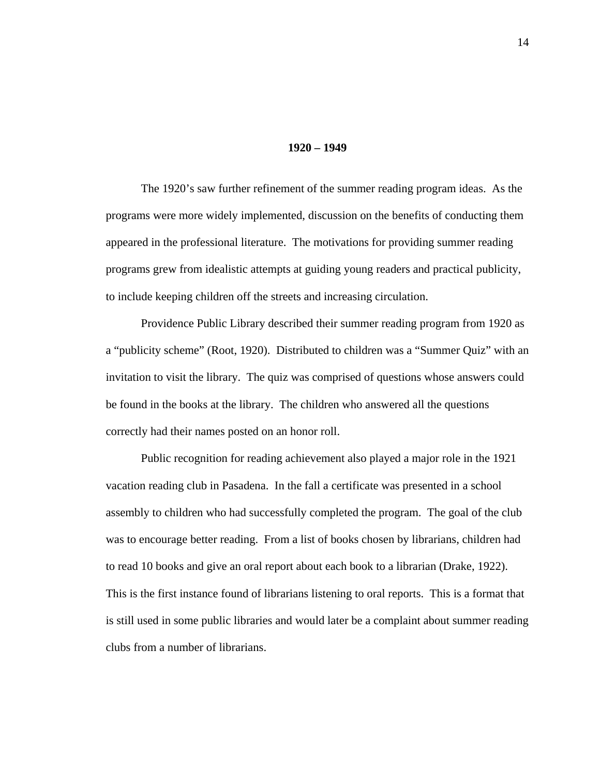#### **1920 – 1949**

 The 1920's saw further refinement of the summer reading program ideas. As the programs were more widely implemented, discussion on the benefits of conducting them appeared in the professional literature. The motivations for providing summer reading programs grew from idealistic attempts at guiding young readers and practical publicity, to include keeping children off the streets and increasing circulation.

 Providence Public Library described their summer reading program from 1920 as a "publicity scheme" (Root, 1920). Distributed to children was a "Summer Quiz" with an invitation to visit the library. The quiz was comprised of questions whose answers could be found in the books at the library. The children who answered all the questions correctly had their names posted on an honor roll.

 Public recognition for reading achievement also played a major role in the 1921 vacation reading club in Pasadena. In the fall a certificate was presented in a school assembly to children who had successfully completed the program. The goal of the club was to encourage better reading. From a list of books chosen by librarians, children had to read 10 books and give an oral report about each book to a librarian (Drake, 1922). This is the first instance found of librarians listening to oral reports. This is a format that is still used in some public libraries and would later be a complaint about summer reading clubs from a number of librarians.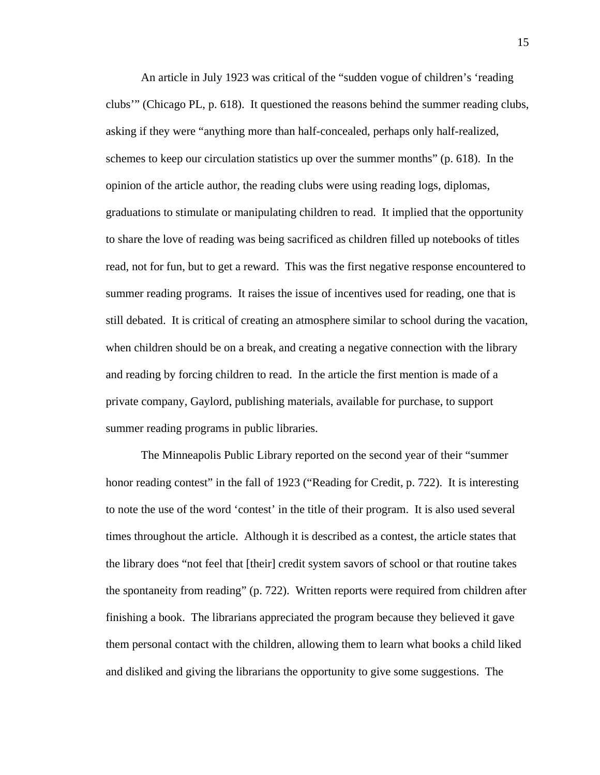An article in July 1923 was critical of the "sudden vogue of children's 'reading clubs'" (Chicago PL, p. 618). It questioned the reasons behind the summer reading clubs, asking if they were "anything more than half-concealed, perhaps only half-realized, schemes to keep our circulation statistics up over the summer months" (p. 618). In the opinion of the article author, the reading clubs were using reading logs, diplomas, graduations to stimulate or manipulating children to read. It implied that the opportunity to share the love of reading was being sacrificed as children filled up notebooks of titles read, not for fun, but to get a reward. This was the first negative response encountered to summer reading programs. It raises the issue of incentives used for reading, one that is still debated. It is critical of creating an atmosphere similar to school during the vacation, when children should be on a break, and creating a negative connection with the library and reading by forcing children to read. In the article the first mention is made of a private company, Gaylord, publishing materials, available for purchase, to support summer reading programs in public libraries.

 The Minneapolis Public Library reported on the second year of their "summer honor reading contest" in the fall of 1923 ("Reading for Credit, p. 722). It is interesting to note the use of the word 'contest' in the title of their program. It is also used several times throughout the article. Although it is described as a contest, the article states that the library does "not feel that [their] credit system savors of school or that routine takes the spontaneity from reading" (p. 722). Written reports were required from children after finishing a book. The librarians appreciated the program because they believed it gave them personal contact with the children, allowing them to learn what books a child liked and disliked and giving the librarians the opportunity to give some suggestions. The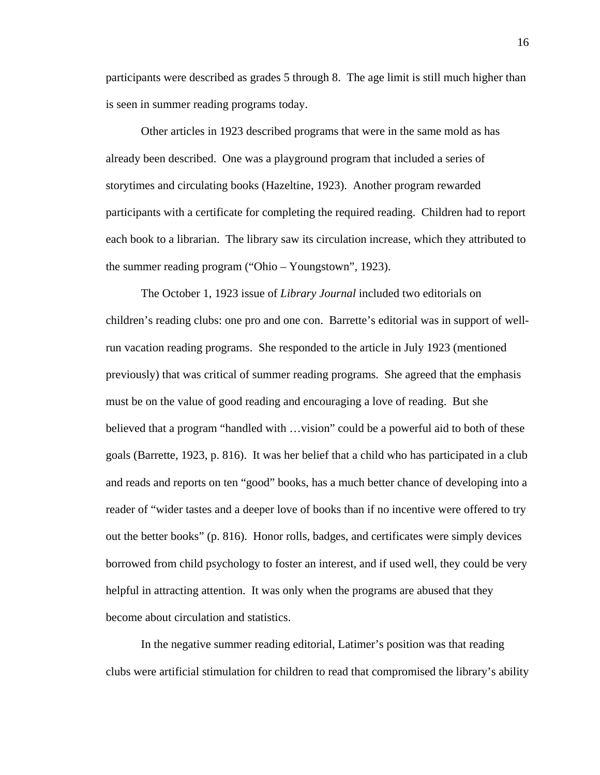participants were described as grades 5 through 8. The age limit is still much higher than is seen in summer reading programs today.

 Other articles in 1923 described programs that were in the same mold as has already been described. One was a playground program that included a series of storytimes and circulating books (Hazeltine, 1923). Another program rewarded participants with a certificate for completing the required reading. Children had to report each book to a librarian. The library saw its circulation increase, which they attributed to the summer reading program ("Ohio – Youngstown", 1923).

 The October 1, 1923 issue of *Library Journal* included two editorials on children's reading clubs: one pro and one con. Barrette's editorial was in support of wellrun vacation reading programs. She responded to the article in July 1923 (mentioned previously) that was critical of summer reading programs. She agreed that the emphasis must be on the value of good reading and encouraging a love of reading. But she believed that a program "handled with …vision" could be a powerful aid to both of these goals (Barrette, 1923, p. 816). It was her belief that a child who has participated in a club and reads and reports on ten "good" books, has a much better chance of developing into a reader of "wider tastes and a deeper love of books than if no incentive were offered to try out the better books" (p. 816). Honor rolls, badges, and certificates were simply devices borrowed from child psychology to foster an interest, and if used well, they could be very helpful in attracting attention. It was only when the programs are abused that they become about circulation and statistics.

 In the negative summer reading editorial, Latimer's position was that reading clubs were artificial stimulation for children to read that compromised the library's ability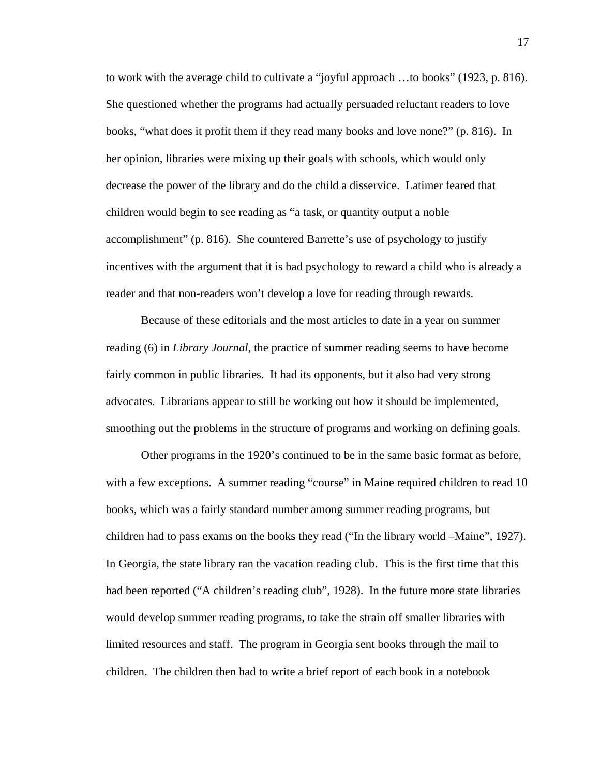to work with the average child to cultivate a "joyful approach …to books" (1923, p. 816). She questioned whether the programs had actually persuaded reluctant readers to love books, "what does it profit them if they read many books and love none?" (p. 816). In her opinion, libraries were mixing up their goals with schools, which would only decrease the power of the library and do the child a disservice. Latimer feared that children would begin to see reading as "a task, or quantity output a noble accomplishment" (p. 816). She countered Barrette's use of psychology to justify incentives with the argument that it is bad psychology to reward a child who is already a reader and that non-readers won't develop a love for reading through rewards.

 Because of these editorials and the most articles to date in a year on summer reading (6) in *Library Journal*, the practice of summer reading seems to have become fairly common in public libraries. It had its opponents, but it also had very strong advocates. Librarians appear to still be working out how it should be implemented, smoothing out the problems in the structure of programs and working on defining goals.

 Other programs in the 1920's continued to be in the same basic format as before, with a few exceptions. A summer reading "course" in Maine required children to read 10 books, which was a fairly standard number among summer reading programs, but children had to pass exams on the books they read ("In the library world –Maine", 1927). In Georgia, the state library ran the vacation reading club. This is the first time that this had been reported ("A children's reading club", 1928). In the future more state libraries would develop summer reading programs, to take the strain off smaller libraries with limited resources and staff. The program in Georgia sent books through the mail to children. The children then had to write a brief report of each book in a notebook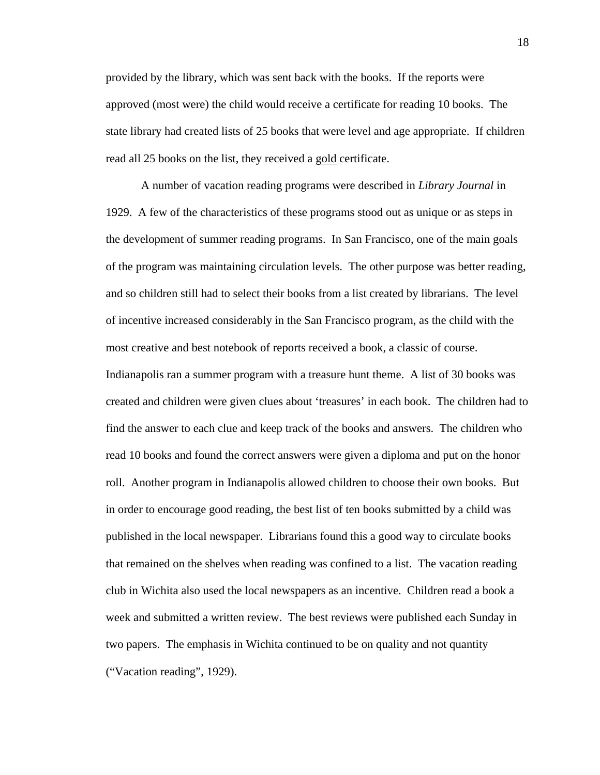provided by the library, which was sent back with the books. If the reports were approved (most were) the child would receive a certificate for reading 10 books. The state library had created lists of 25 books that were level and age appropriate. If children read all 25 books on the list, they received a gold certificate.

 A number of vacation reading programs were described in *Library Journal* in 1929. A few of the characteristics of these programs stood out as unique or as steps in the development of summer reading programs. In San Francisco, one of the main goals of the program was maintaining circulation levels. The other purpose was better reading, and so children still had to select their books from a list created by librarians. The level of incentive increased considerably in the San Francisco program, as the child with the most creative and best notebook of reports received a book, a classic of course. Indianapolis ran a summer program with a treasure hunt theme. A list of 30 books was created and children were given clues about 'treasures' in each book. The children had to find the answer to each clue and keep track of the books and answers. The children who read 10 books and found the correct answers were given a diploma and put on the honor roll. Another program in Indianapolis allowed children to choose their own books. But in order to encourage good reading, the best list of ten books submitted by a child was published in the local newspaper. Librarians found this a good way to circulate books that remained on the shelves when reading was confined to a list. The vacation reading club in Wichita also used the local newspapers as an incentive. Children read a book a week and submitted a written review. The best reviews were published each Sunday in two papers. The emphasis in Wichita continued to be on quality and not quantity ("Vacation reading", 1929).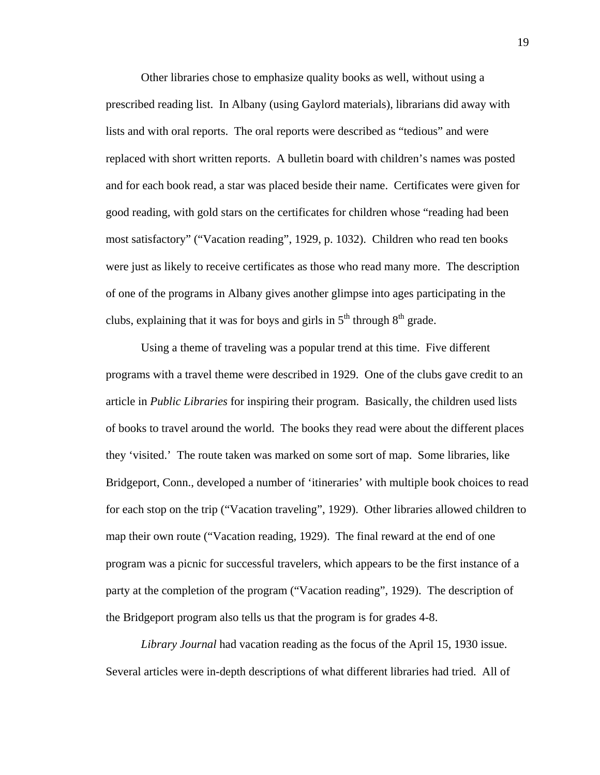Other libraries chose to emphasize quality books as well, without using a prescribed reading list. In Albany (using Gaylord materials), librarians did away with lists and with oral reports. The oral reports were described as "tedious" and were replaced with short written reports. A bulletin board with children's names was posted and for each book read, a star was placed beside their name. Certificates were given for good reading, with gold stars on the certificates for children whose "reading had been most satisfactory" ("Vacation reading", 1929, p. 1032). Children who read ten books were just as likely to receive certificates as those who read many more. The description of one of the programs in Albany gives another glimpse into ages participating in the clubs, explaining that it was for boys and girls in  $5<sup>th</sup>$  through  $8<sup>th</sup>$  grade.

 Using a theme of traveling was a popular trend at this time. Five different programs with a travel theme were described in 1929. One of the clubs gave credit to an article in *Public Libraries* for inspiring their program. Basically, the children used lists of books to travel around the world. The books they read were about the different places they 'visited.' The route taken was marked on some sort of map. Some libraries, like Bridgeport, Conn., developed a number of 'itineraries' with multiple book choices to read for each stop on the trip ("Vacation traveling", 1929). Other libraries allowed children to map their own route ("Vacation reading, 1929). The final reward at the end of one program was a picnic for successful travelers, which appears to be the first instance of a party at the completion of the program ("Vacation reading", 1929). The description of the Bridgeport program also tells us that the program is for grades 4-8.

*Library Journal* had vacation reading as the focus of the April 15, 1930 issue. Several articles were in-depth descriptions of what different libraries had tried. All of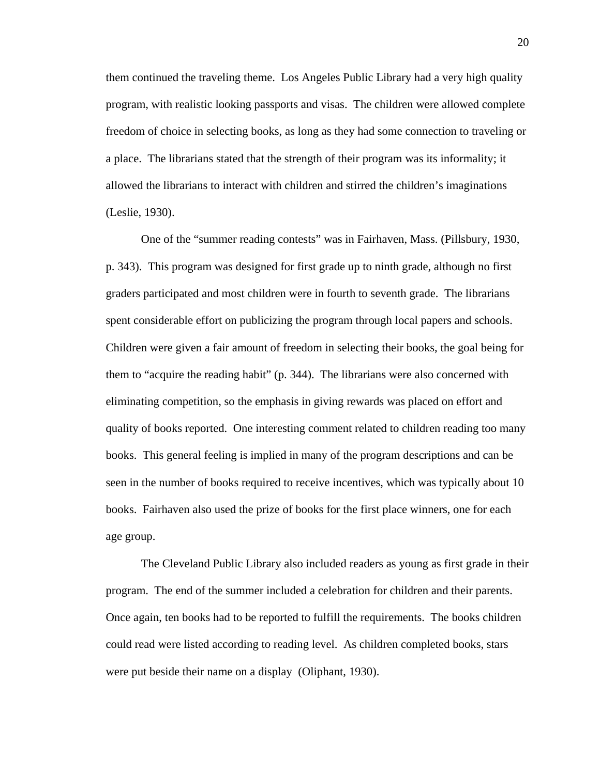them continued the traveling theme. Los Angeles Public Library had a very high quality program, with realistic looking passports and visas. The children were allowed complete freedom of choice in selecting books, as long as they had some connection to traveling or a place. The librarians stated that the strength of their program was its informality; it allowed the librarians to interact with children and stirred the children's imaginations (Leslie, 1930).

One of the "summer reading contests" was in Fairhaven, Mass. (Pillsbury, 1930, p. 343). This program was designed for first grade up to ninth grade, although no first graders participated and most children were in fourth to seventh grade. The librarians spent considerable effort on publicizing the program through local papers and schools. Children were given a fair amount of freedom in selecting their books, the goal being for them to "acquire the reading habit" (p. 344). The librarians were also concerned with eliminating competition, so the emphasis in giving rewards was placed on effort and quality of books reported. One interesting comment related to children reading too many books. This general feeling is implied in many of the program descriptions and can be seen in the number of books required to receive incentives, which was typically about 10 books. Fairhaven also used the prize of books for the first place winners, one for each age group.

 The Cleveland Public Library also included readers as young as first grade in their program. The end of the summer included a celebration for children and their parents. Once again, ten books had to be reported to fulfill the requirements. The books children could read were listed according to reading level. As children completed books, stars were put beside their name on a display (Oliphant, 1930).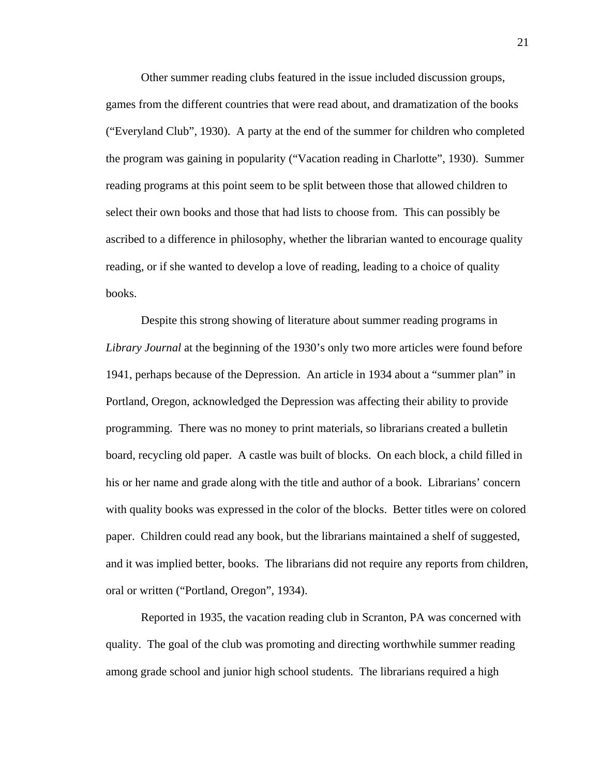Other summer reading clubs featured in the issue included discussion groups, games from the different countries that were read about, and dramatization of the books ("Everyland Club", 1930). A party at the end of the summer for children who completed the program was gaining in popularity ("Vacation reading in Charlotte", 1930). Summer reading programs at this point seem to be split between those that allowed children to select their own books and those that had lists to choose from. This can possibly be ascribed to a difference in philosophy, whether the librarian wanted to encourage quality reading, or if she wanted to develop a love of reading, leading to a choice of quality books.

 Despite this strong showing of literature about summer reading programs in *Library Journal* at the beginning of the 1930's only two more articles were found before 1941, perhaps because of the Depression. An article in 1934 about a "summer plan" in Portland, Oregon, acknowledged the Depression was affecting their ability to provide programming. There was no money to print materials, so librarians created a bulletin board, recycling old paper. A castle was built of blocks. On each block, a child filled in his or her name and grade along with the title and author of a book. Librarians' concern with quality books was expressed in the color of the blocks. Better titles were on colored paper. Children could read any book, but the librarians maintained a shelf of suggested, and it was implied better, books. The librarians did not require any reports from children, oral or written ("Portland, Oregon", 1934).

Reported in 1935, the vacation reading club in Scranton, PA was concerned with quality. The goal of the club was promoting and directing worthwhile summer reading among grade school and junior high school students. The librarians required a high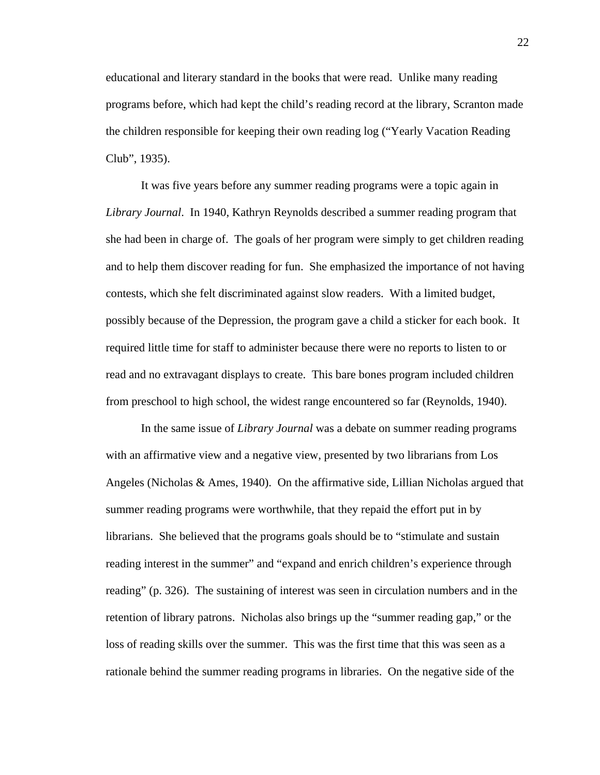educational and literary standard in the books that were read. Unlike many reading programs before, which had kept the child's reading record at the library, Scranton made the children responsible for keeping their own reading log ("Yearly Vacation Reading Club", 1935).

 It was five years before any summer reading programs were a topic again in *Library Journal*. In 1940, Kathryn Reynolds described a summer reading program that she had been in charge of. The goals of her program were simply to get children reading and to help them discover reading for fun. She emphasized the importance of not having contests, which she felt discriminated against slow readers. With a limited budget, possibly because of the Depression, the program gave a child a sticker for each book. It required little time for staff to administer because there were no reports to listen to or read and no extravagant displays to create. This bare bones program included children from preschool to high school, the widest range encountered so far (Reynolds, 1940).

 In the same issue of *Library Journal* was a debate on summer reading programs with an affirmative view and a negative view, presented by two librarians from Los Angeles (Nicholas & Ames, 1940). On the affirmative side, Lillian Nicholas argued that summer reading programs were worthwhile, that they repaid the effort put in by librarians. She believed that the programs goals should be to "stimulate and sustain reading interest in the summer" and "expand and enrich children's experience through reading" (p. 326). The sustaining of interest was seen in circulation numbers and in the retention of library patrons. Nicholas also brings up the "summer reading gap," or the loss of reading skills over the summer. This was the first time that this was seen as a rationale behind the summer reading programs in libraries. On the negative side of the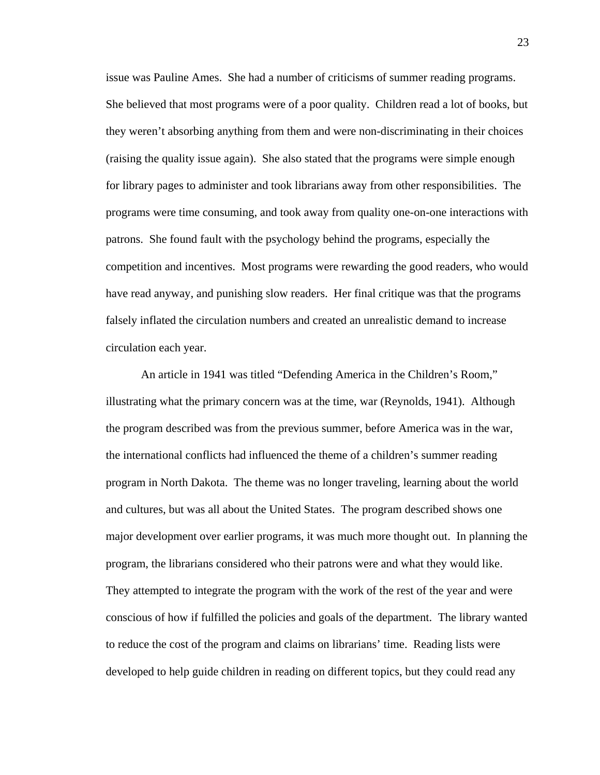issue was Pauline Ames. She had a number of criticisms of summer reading programs. She believed that most programs were of a poor quality. Children read a lot of books, but they weren't absorbing anything from them and were non-discriminating in their choices (raising the quality issue again). She also stated that the programs were simple enough for library pages to administer and took librarians away from other responsibilities. The programs were time consuming, and took away from quality one-on-one interactions with patrons. She found fault with the psychology behind the programs, especially the competition and incentives. Most programs were rewarding the good readers, who would have read anyway, and punishing slow readers. Her final critique was that the programs falsely inflated the circulation numbers and created an unrealistic demand to increase circulation each year.

An article in 1941 was titled "Defending America in the Children's Room," illustrating what the primary concern was at the time, war (Reynolds, 1941). Although the program described was from the previous summer, before America was in the war, the international conflicts had influenced the theme of a children's summer reading program in North Dakota. The theme was no longer traveling, learning about the world and cultures, but was all about the United States. The program described shows one major development over earlier programs, it was much more thought out. In planning the program, the librarians considered who their patrons were and what they would like. They attempted to integrate the program with the work of the rest of the year and were conscious of how if fulfilled the policies and goals of the department. The library wanted to reduce the cost of the program and claims on librarians' time. Reading lists were developed to help guide children in reading on different topics, but they could read any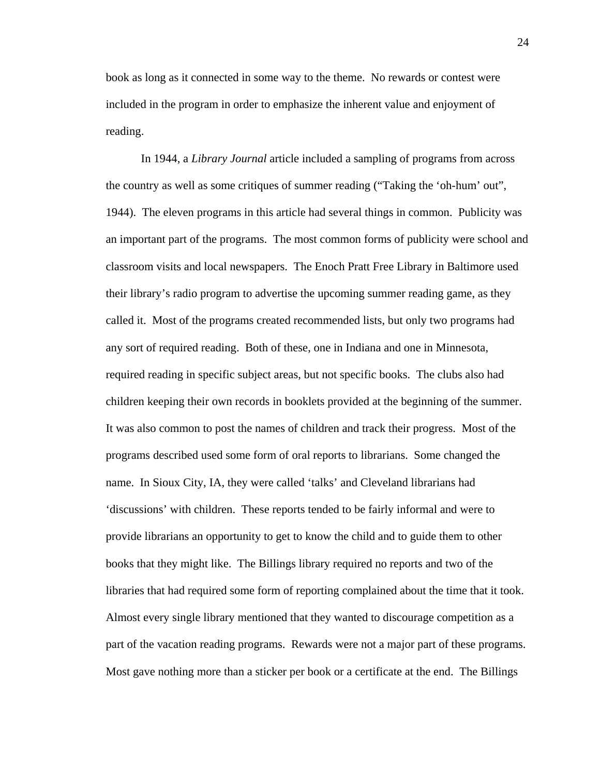book as long as it connected in some way to the theme. No rewards or contest were included in the program in order to emphasize the inherent value and enjoyment of reading.

 In 1944, a *Library Journal* article included a sampling of programs from across the country as well as some critiques of summer reading ("Taking the 'oh-hum' out", 1944). The eleven programs in this article had several things in common. Publicity was an important part of the programs. The most common forms of publicity were school and classroom visits and local newspapers. The Enoch Pratt Free Library in Baltimore used their library's radio program to advertise the upcoming summer reading game, as they called it. Most of the programs created recommended lists, but only two programs had any sort of required reading. Both of these, one in Indiana and one in Minnesota, required reading in specific subject areas, but not specific books. The clubs also had children keeping their own records in booklets provided at the beginning of the summer. It was also common to post the names of children and track their progress. Most of the programs described used some form of oral reports to librarians. Some changed the name. In Sioux City, IA, they were called 'talks' and Cleveland librarians had 'discussions' with children. These reports tended to be fairly informal and were to provide librarians an opportunity to get to know the child and to guide them to other books that they might like. The Billings library required no reports and two of the libraries that had required some form of reporting complained about the time that it took. Almost every single library mentioned that they wanted to discourage competition as a part of the vacation reading programs. Rewards were not a major part of these programs. Most gave nothing more than a sticker per book or a certificate at the end. The Billings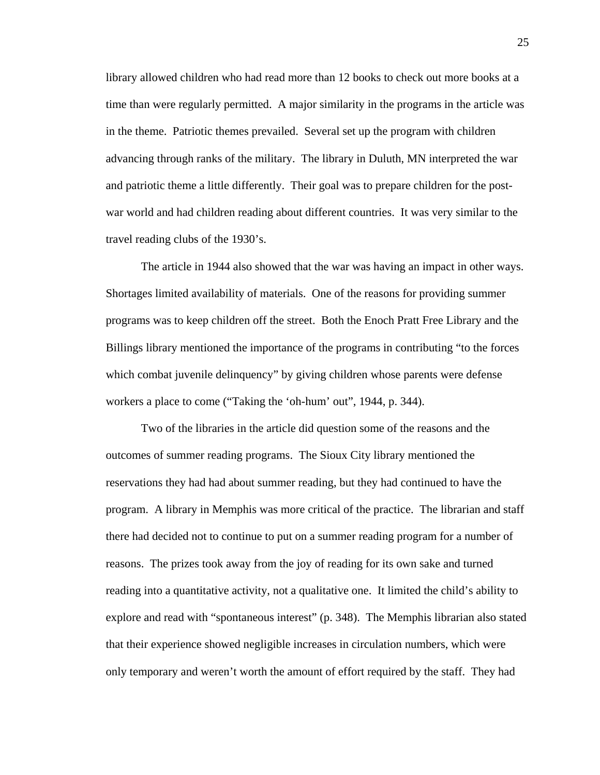library allowed children who had read more than 12 books to check out more books at a time than were regularly permitted. A major similarity in the programs in the article was in the theme. Patriotic themes prevailed. Several set up the program with children advancing through ranks of the military. The library in Duluth, MN interpreted the war and patriotic theme a little differently. Their goal was to prepare children for the postwar world and had children reading about different countries. It was very similar to the travel reading clubs of the 1930's.

 The article in 1944 also showed that the war was having an impact in other ways. Shortages limited availability of materials. One of the reasons for providing summer programs was to keep children off the street. Both the Enoch Pratt Free Library and the Billings library mentioned the importance of the programs in contributing "to the forces which combat juvenile delinquency" by giving children whose parents were defense workers a place to come ("Taking the 'oh-hum' out", 1944, p. 344).

 Two of the libraries in the article did question some of the reasons and the outcomes of summer reading programs. The Sioux City library mentioned the reservations they had had about summer reading, but they had continued to have the program. A library in Memphis was more critical of the practice. The librarian and staff there had decided not to continue to put on a summer reading program for a number of reasons. The prizes took away from the joy of reading for its own sake and turned reading into a quantitative activity, not a qualitative one. It limited the child's ability to explore and read with "spontaneous interest" (p. 348). The Memphis librarian also stated that their experience showed negligible increases in circulation numbers, which were only temporary and weren't worth the amount of effort required by the staff. They had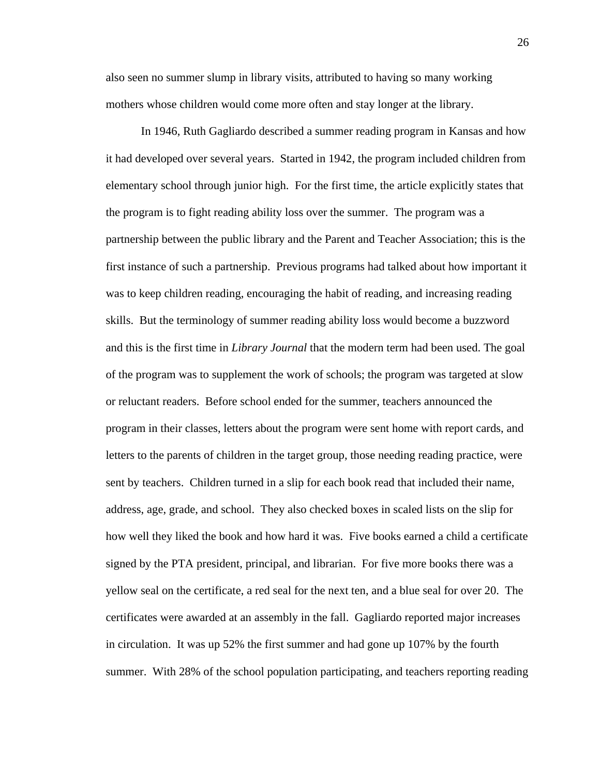also seen no summer slump in library visits, attributed to having so many working mothers whose children would come more often and stay longer at the library.

 In 1946, Ruth Gagliardo described a summer reading program in Kansas and how it had developed over several years. Started in 1942, the program included children from elementary school through junior high. For the first time, the article explicitly states that the program is to fight reading ability loss over the summer. The program was a partnership between the public library and the Parent and Teacher Association; this is the first instance of such a partnership. Previous programs had talked about how important it was to keep children reading, encouraging the habit of reading, and increasing reading skills. But the terminology of summer reading ability loss would become a buzzword and this is the first time in *Library Journal* that the modern term had been used. The goal of the program was to supplement the work of schools; the program was targeted at slow or reluctant readers. Before school ended for the summer, teachers announced the program in their classes, letters about the program were sent home with report cards, and letters to the parents of children in the target group, those needing reading practice, were sent by teachers. Children turned in a slip for each book read that included their name, address, age, grade, and school. They also checked boxes in scaled lists on the slip for how well they liked the book and how hard it was. Five books earned a child a certificate signed by the PTA president, principal, and librarian. For five more books there was a yellow seal on the certificate, a red seal for the next ten, and a blue seal for over 20. The certificates were awarded at an assembly in the fall. Gagliardo reported major increases in circulation. It was up 52% the first summer and had gone up 107% by the fourth summer. With 28% of the school population participating, and teachers reporting reading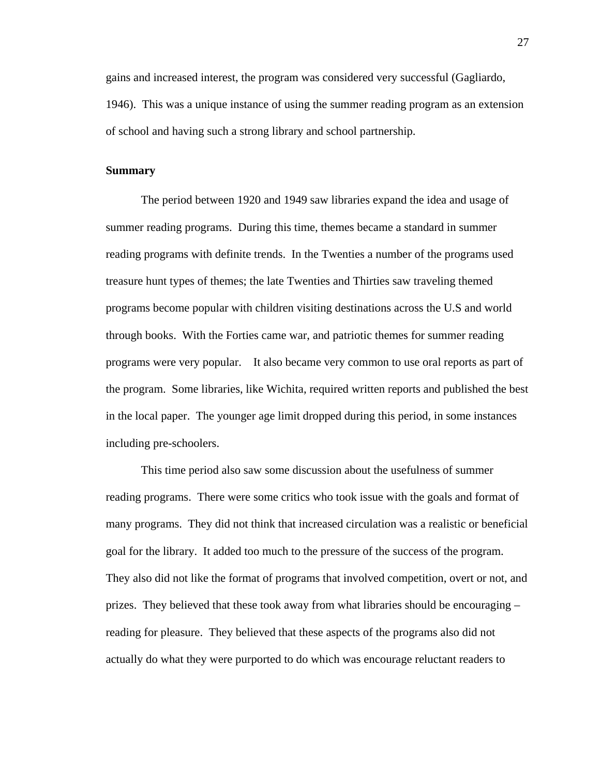gains and increased interest, the program was considered very successful (Gagliardo, 1946). This was a unique instance of using the summer reading program as an extension of school and having such a strong library and school partnership.

#### **Summary**

 The period between 1920 and 1949 saw libraries expand the idea and usage of summer reading programs. During this time, themes became a standard in summer reading programs with definite trends. In the Twenties a number of the programs used treasure hunt types of themes; the late Twenties and Thirties saw traveling themed programs become popular with children visiting destinations across the U.S and world through books. With the Forties came war, and patriotic themes for summer reading programs were very popular. It also became very common to use oral reports as part of the program. Some libraries, like Wichita, required written reports and published the best in the local paper. The younger age limit dropped during this period, in some instances including pre-schoolers.

 This time period also saw some discussion about the usefulness of summer reading programs. There were some critics who took issue with the goals and format of many programs. They did not think that increased circulation was a realistic or beneficial goal for the library. It added too much to the pressure of the success of the program. They also did not like the format of programs that involved competition, overt or not, and prizes. They believed that these took away from what libraries should be encouraging – reading for pleasure. They believed that these aspects of the programs also did not actually do what they were purported to do which was encourage reluctant readers to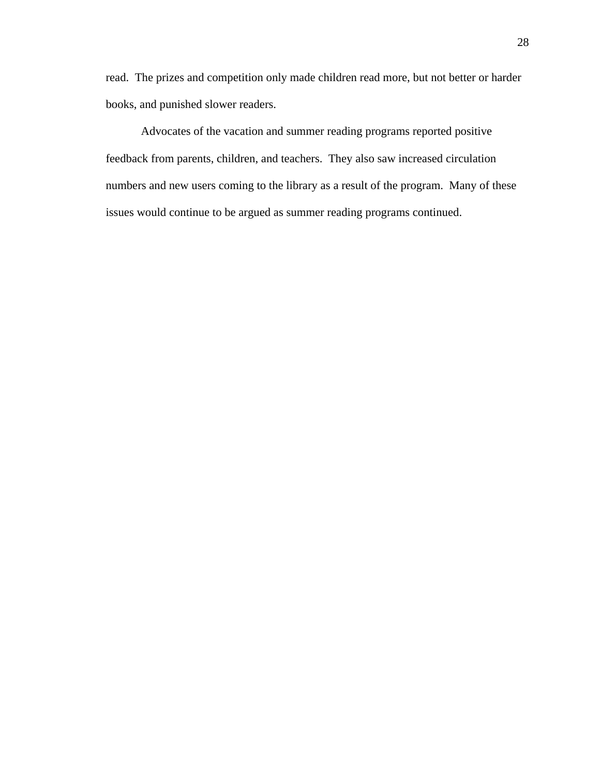read. The prizes and competition only made children read more, but not better or harder books, and punished slower readers.

 Advocates of the vacation and summer reading programs reported positive feedback from parents, children, and teachers. They also saw increased circulation numbers and new users coming to the library as a result of the program. Many of these issues would continue to be argued as summer reading programs continued.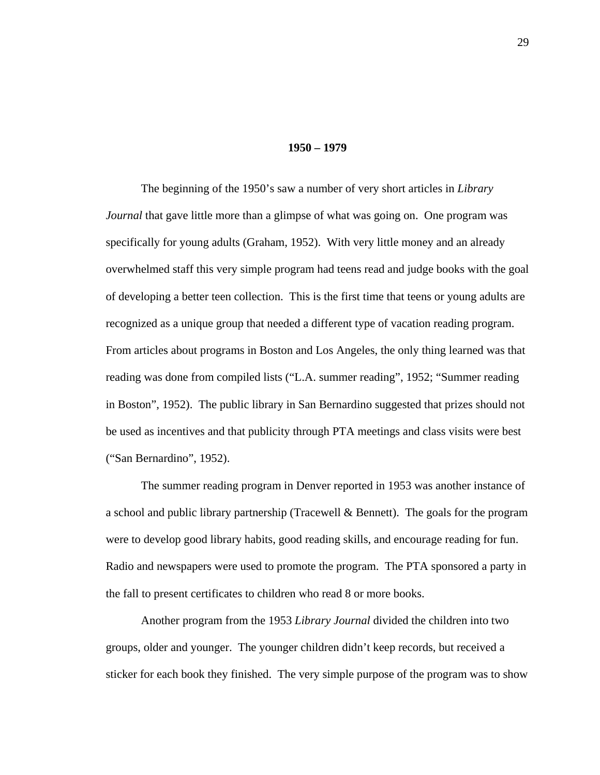#### **1950 – 1979**

 The beginning of the 1950's saw a number of very short articles in *Library Journal* that gave little more than a glimpse of what was going on. One program was specifically for young adults (Graham, 1952). With very little money and an already overwhelmed staff this very simple program had teens read and judge books with the goal of developing a better teen collection. This is the first time that teens or young adults are recognized as a unique group that needed a different type of vacation reading program. From articles about programs in Boston and Los Angeles, the only thing learned was that reading was done from compiled lists ("L.A. summer reading", 1952; "Summer reading in Boston", 1952). The public library in San Bernardino suggested that prizes should not be used as incentives and that publicity through PTA meetings and class visits were best ("San Bernardino", 1952).

 The summer reading program in Denver reported in 1953 was another instance of a school and public library partnership (Tracewell & Bennett). The goals for the program were to develop good library habits, good reading skills, and encourage reading for fun. Radio and newspapers were used to promote the program. The PTA sponsored a party in the fall to present certificates to children who read 8 or more books.

 Another program from the 1953 *Library Journal* divided the children into two groups, older and younger. The younger children didn't keep records, but received a sticker for each book they finished. The very simple purpose of the program was to show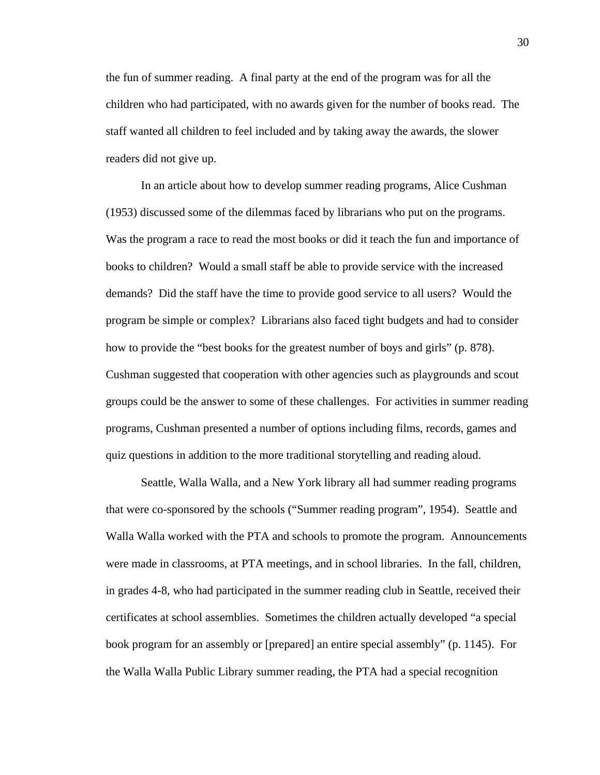the fun of summer reading. A final party at the end of the program was for all the children who had participated, with no awards given for the number of books read. The staff wanted all children to feel included and by taking away the awards, the slower readers did not give up.

 In an article about how to develop summer reading programs, Alice Cushman (1953) discussed some of the dilemmas faced by librarians who put on the programs. Was the program a race to read the most books or did it teach the fun and importance of books to children? Would a small staff be able to provide service with the increased demands? Did the staff have the time to provide good service to all users? Would the program be simple or complex? Librarians also faced tight budgets and had to consider how to provide the "best books for the greatest number of boys and girls" (p. 878). Cushman suggested that cooperation with other agencies such as playgrounds and scout groups could be the answer to some of these challenges. For activities in summer reading programs, Cushman presented a number of options including films, records, games and quiz questions in addition to the more traditional storytelling and reading aloud.

 Seattle, Walla Walla, and a New York library all had summer reading programs that were co-sponsored by the schools ("Summer reading program", 1954). Seattle and Walla Walla worked with the PTA and schools to promote the program. Announcements were made in classrooms, at PTA meetings, and in school libraries. In the fall, children, in grades 4-8, who had participated in the summer reading club in Seattle, received their certificates at school assemblies. Sometimes the children actually developed "a special book program for an assembly or [prepared] an entire special assembly" (p. 1145). For the Walla Walla Public Library summer reading, the PTA had a special recognition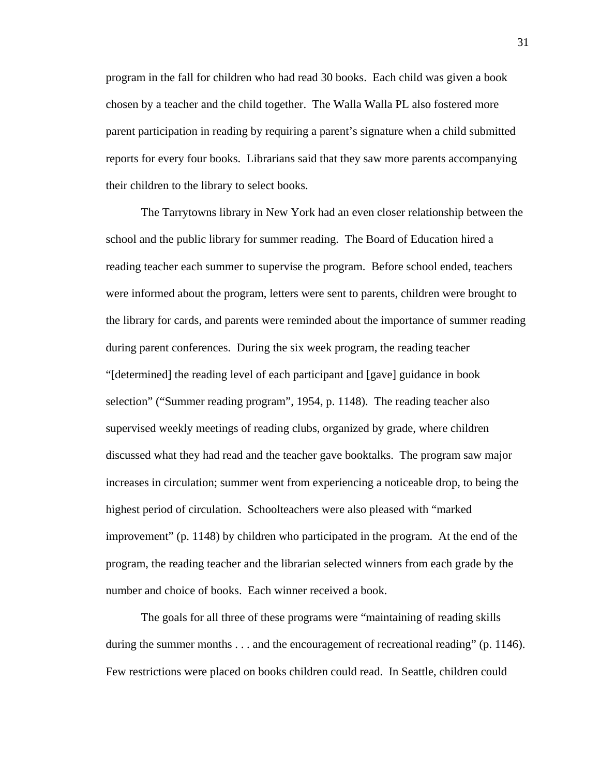program in the fall for children who had read 30 books. Each child was given a book chosen by a teacher and the child together. The Walla Walla PL also fostered more parent participation in reading by requiring a parent's signature when a child submitted reports for every four books. Librarians said that they saw more parents accompanying their children to the library to select books.

 The Tarrytowns library in New York had an even closer relationship between the school and the public library for summer reading. The Board of Education hired a reading teacher each summer to supervise the program. Before school ended, teachers were informed about the program, letters were sent to parents, children were brought to the library for cards, and parents were reminded about the importance of summer reading during parent conferences. During the six week program, the reading teacher "[determined] the reading level of each participant and [gave] guidance in book selection" ("Summer reading program", 1954, p. 1148). The reading teacher also supervised weekly meetings of reading clubs, organized by grade, where children discussed what they had read and the teacher gave booktalks. The program saw major increases in circulation; summer went from experiencing a noticeable drop, to being the highest period of circulation. Schoolteachers were also pleased with "marked improvement" (p. 1148) by children who participated in the program. At the end of the program, the reading teacher and the librarian selected winners from each grade by the number and choice of books. Each winner received a book.

 The goals for all three of these programs were "maintaining of reading skills during the summer months . . . and the encouragement of recreational reading" (p. 1146). Few restrictions were placed on books children could read. In Seattle, children could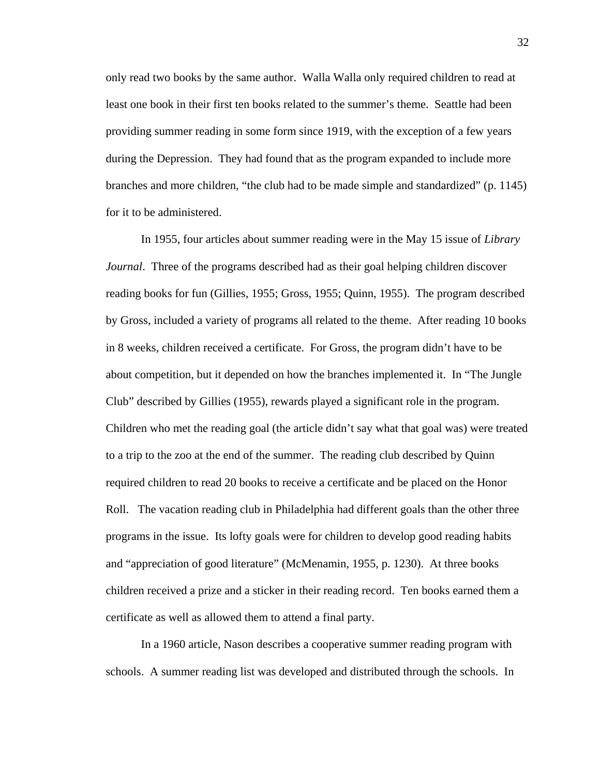only read two books by the same author. Walla Walla only required children to read at least one book in their first ten books related to the summer's theme. Seattle had been providing summer reading in some form since 1919, with the exception of a few years during the Depression. They had found that as the program expanded to include more branches and more children, "the club had to be made simple and standardized" (p. 1145) for it to be administered.

 In 1955, four articles about summer reading were in the May 15 issue of *Library Journal*. Three of the programs described had as their goal helping children discover reading books for fun (Gillies, 1955; Gross, 1955; Quinn, 1955). The program described by Gross, included a variety of programs all related to the theme. After reading 10 books in 8 weeks, children received a certificate. For Gross, the program didn't have to be about competition, but it depended on how the branches implemented it. In "The Jungle Club" described by Gillies (1955), rewards played a significant role in the program. Children who met the reading goal (the article didn't say what that goal was) were treated to a trip to the zoo at the end of the summer. The reading club described by Quinn required children to read 20 books to receive a certificate and be placed on the Honor Roll. The vacation reading club in Philadelphia had different goals than the other three programs in the issue. Its lofty goals were for children to develop good reading habits and "appreciation of good literature" (McMenamin, 1955, p. 1230). At three books children received a prize and a sticker in their reading record. Ten books earned them a certificate as well as allowed them to attend a final party.

 In a 1960 article, Nason describes a cooperative summer reading program with schools. A summer reading list was developed and distributed through the schools. In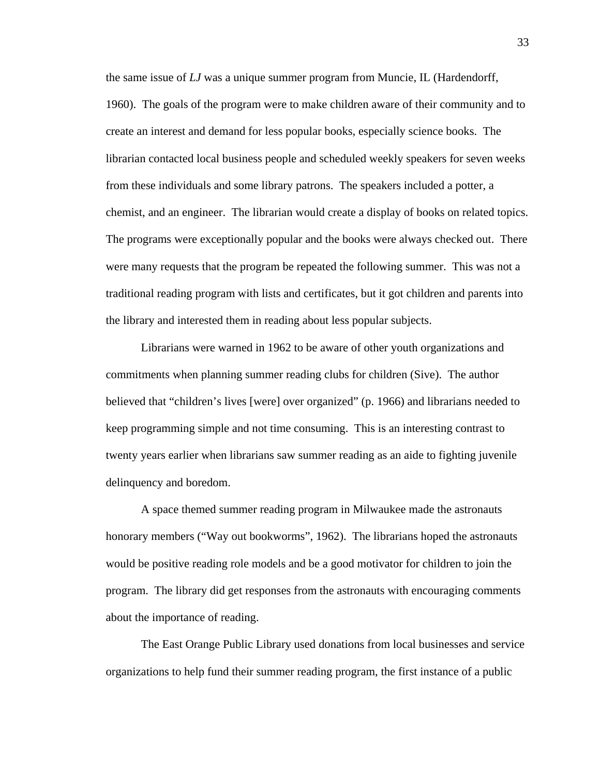the same issue of *LJ* was a unique summer program from Muncie, IL (Hardendorff, 1960). The goals of the program were to make children aware of their community and to create an interest and demand for less popular books, especially science books. The librarian contacted local business people and scheduled weekly speakers for seven weeks from these individuals and some library patrons. The speakers included a potter, a chemist, and an engineer. The librarian would create a display of books on related topics. The programs were exceptionally popular and the books were always checked out. There were many requests that the program be repeated the following summer. This was not a traditional reading program with lists and certificates, but it got children and parents into the library and interested them in reading about less popular subjects.

 Librarians were warned in 1962 to be aware of other youth organizations and commitments when planning summer reading clubs for children (Sive). The author believed that "children's lives [were] over organized" (p. 1966) and librarians needed to keep programming simple and not time consuming. This is an interesting contrast to twenty years earlier when librarians saw summer reading as an aide to fighting juvenile delinquency and boredom.

 A space themed summer reading program in Milwaukee made the astronauts honorary members ("Way out bookworms", 1962). The librarians hoped the astronauts would be positive reading role models and be a good motivator for children to join the program. The library did get responses from the astronauts with encouraging comments about the importance of reading.

 The East Orange Public Library used donations from local businesses and service organizations to help fund their summer reading program, the first instance of a public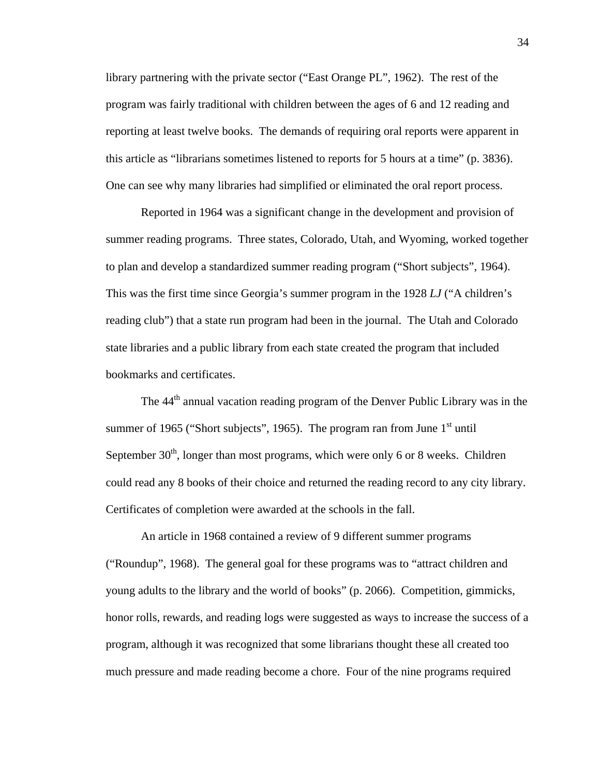library partnering with the private sector ("East Orange PL", 1962). The rest of the program was fairly traditional with children between the ages of 6 and 12 reading and reporting at least twelve books. The demands of requiring oral reports were apparent in this article as "librarians sometimes listened to reports for 5 hours at a time" (p. 3836). One can see why many libraries had simplified or eliminated the oral report process.

 Reported in 1964 was a significant change in the development and provision of summer reading programs. Three states, Colorado, Utah, and Wyoming, worked together to plan and develop a standardized summer reading program ("Short subjects", 1964). This was the first time since Georgia's summer program in the 1928 *LJ* ("A children's reading club") that a state run program had been in the journal. The Utah and Colorado state libraries and a public library from each state created the program that included bookmarks and certificates.

The 44<sup>th</sup> annual vacation reading program of the Denver Public Library was in the summer of 1965 ("Short subjects", 1965). The program ran from June  $1<sup>st</sup>$  until September  $30<sup>th</sup>$ , longer than most programs, which were only 6 or 8 weeks. Children could read any 8 books of their choice and returned the reading record to any city library. Certificates of completion were awarded at the schools in the fall.

 An article in 1968 contained a review of 9 different summer programs ("Roundup", 1968). The general goal for these programs was to "attract children and young adults to the library and the world of books" (p. 2066). Competition, gimmicks, honor rolls, rewards, and reading logs were suggested as ways to increase the success of a program, although it was recognized that some librarians thought these all created too much pressure and made reading become a chore. Four of the nine programs required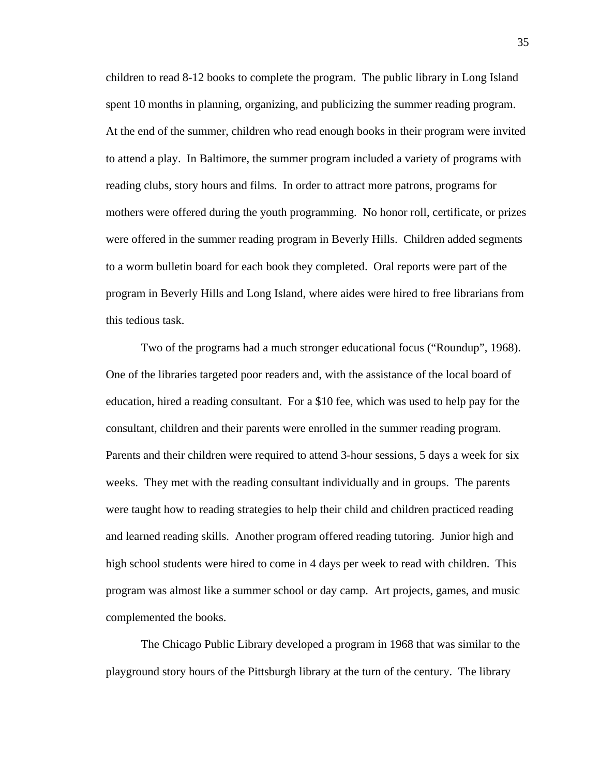children to read 8-12 books to complete the program. The public library in Long Island spent 10 months in planning, organizing, and publicizing the summer reading program. At the end of the summer, children who read enough books in their program were invited to attend a play. In Baltimore, the summer program included a variety of programs with reading clubs, story hours and films. In order to attract more patrons, programs for mothers were offered during the youth programming. No honor roll, certificate, or prizes were offered in the summer reading program in Beverly Hills. Children added segments to a worm bulletin board for each book they completed. Oral reports were part of the program in Beverly Hills and Long Island, where aides were hired to free librarians from this tedious task.

Two of the programs had a much stronger educational focus ("Roundup", 1968). One of the libraries targeted poor readers and, with the assistance of the local board of education, hired a reading consultant. For a \$10 fee, which was used to help pay for the consultant, children and their parents were enrolled in the summer reading program. Parents and their children were required to attend 3-hour sessions, 5 days a week for six weeks. They met with the reading consultant individually and in groups. The parents were taught how to reading strategies to help their child and children practiced reading and learned reading skills. Another program offered reading tutoring. Junior high and high school students were hired to come in 4 days per week to read with children. This program was almost like a summer school or day camp. Art projects, games, and music complemented the books.

 The Chicago Public Library developed a program in 1968 that was similar to the playground story hours of the Pittsburgh library at the turn of the century. The library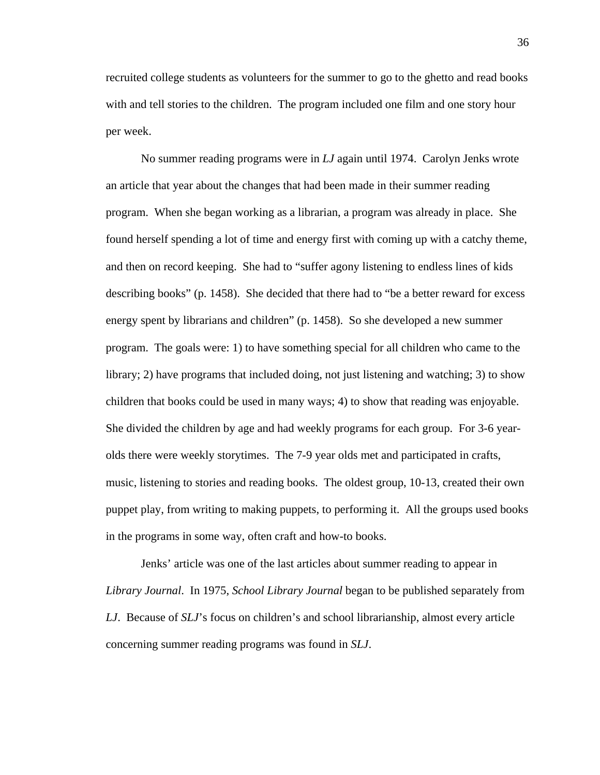recruited college students as volunteers for the summer to go to the ghetto and read books with and tell stories to the children. The program included one film and one story hour per week.

 No summer reading programs were in *LJ* again until 1974. Carolyn Jenks wrote an article that year about the changes that had been made in their summer reading program. When she began working as a librarian, a program was already in place. She found herself spending a lot of time and energy first with coming up with a catchy theme, and then on record keeping. She had to "suffer agony listening to endless lines of kids describing books" (p. 1458). She decided that there had to "be a better reward for excess energy spent by librarians and children" (p. 1458). So she developed a new summer program. The goals were: 1) to have something special for all children who came to the library; 2) have programs that included doing, not just listening and watching; 3) to show children that books could be used in many ways; 4) to show that reading was enjoyable. She divided the children by age and had weekly programs for each group. For 3-6 yearolds there were weekly storytimes. The 7-9 year olds met and participated in crafts, music, listening to stories and reading books. The oldest group, 10-13, created their own puppet play, from writing to making puppets, to performing it. All the groups used books in the programs in some way, often craft and how-to books.

 Jenks' article was one of the last articles about summer reading to appear in *Library Journal*. In 1975, *School Library Journal* began to be published separately from *LJ*. Because of *SLJ*'s focus on children's and school librarianship, almost every article concerning summer reading programs was found in *SLJ*.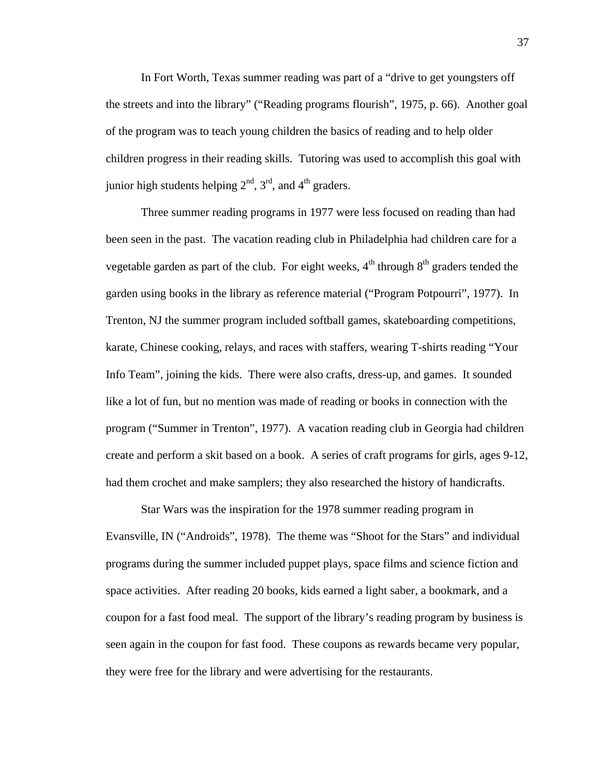In Fort Worth, Texas summer reading was part of a "drive to get youngsters off the streets and into the library" ("Reading programs flourish", 1975, p. 66). Another goal of the program was to teach young children the basics of reading and to help older children progress in their reading skills. Tutoring was used to accomplish this goal with junior high students helping  $2<sup>nd</sup>$ ,  $3<sup>rd</sup>$ , and  $4<sup>th</sup>$  graders.

 Three summer reading programs in 1977 were less focused on reading than had been seen in the past. The vacation reading club in Philadelphia had children care for a vegetable garden as part of the club. For eight weeks,  $4<sup>th</sup>$  through  $8<sup>th</sup>$  graders tended the garden using books in the library as reference material ("Program Potpourri", 1977). In Trenton, NJ the summer program included softball games, skateboarding competitions, karate, Chinese cooking, relays, and races with staffers, wearing T-shirts reading "Your Info Team", joining the kids. There were also crafts, dress-up, and games. It sounded like a lot of fun, but no mention was made of reading or books in connection with the program ("Summer in Trenton", 1977). A vacation reading club in Georgia had children create and perform a skit based on a book. A series of craft programs for girls, ages 9-12, had them crochet and make samplers; they also researched the history of handicrafts.

 Star Wars was the inspiration for the 1978 summer reading program in Evansville, IN ("Androids", 1978). The theme was "Shoot for the Stars" and individual programs during the summer included puppet plays, space films and science fiction and space activities. After reading 20 books, kids earned a light saber, a bookmark, and a coupon for a fast food meal. The support of the library's reading program by business is seen again in the coupon for fast food. These coupons as rewards became very popular, they were free for the library and were advertising for the restaurants.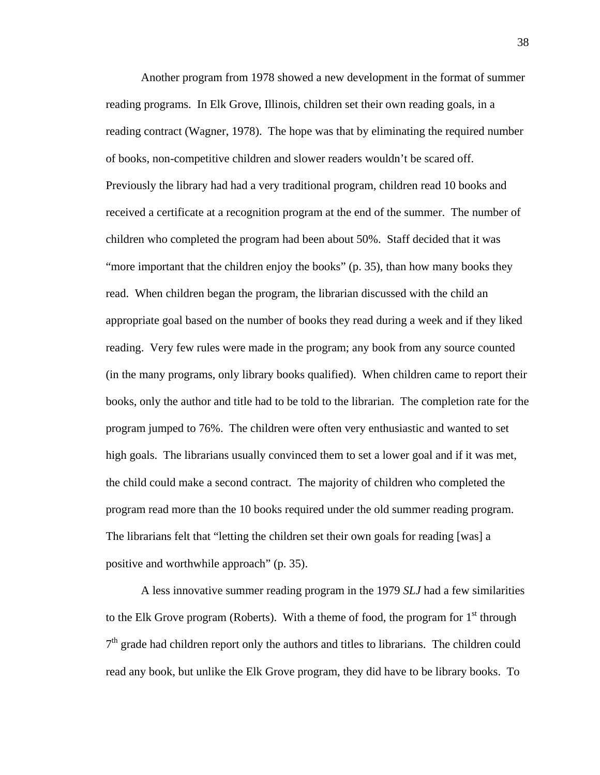Another program from 1978 showed a new development in the format of summer reading programs. In Elk Grove, Illinois, children set their own reading goals, in a reading contract (Wagner, 1978). The hope was that by eliminating the required number of books, non-competitive children and slower readers wouldn't be scared off. Previously the library had had a very traditional program, children read 10 books and received a certificate at a recognition program at the end of the summer. The number of children who completed the program had been about 50%. Staff decided that it was "more important that the children enjoy the books" (p. 35), than how many books they read. When children began the program, the librarian discussed with the child an appropriate goal based on the number of books they read during a week and if they liked reading. Very few rules were made in the program; any book from any source counted (in the many programs, only library books qualified). When children came to report their books, only the author and title had to be told to the librarian. The completion rate for the program jumped to 76%. The children were often very enthusiastic and wanted to set high goals. The librarians usually convinced them to set a lower goal and if it was met, the child could make a second contract. The majority of children who completed the program read more than the 10 books required under the old summer reading program. The librarians felt that "letting the children set their own goals for reading [was] a positive and worthwhile approach" (p. 35).

 A less innovative summer reading program in the 1979 *SLJ* had a few similarities to the Elk Grove program (Roberts). With a theme of food, the program for  $1<sup>st</sup>$  through  $7<sup>th</sup>$  grade had children report only the authors and titles to librarians. The children could read any book, but unlike the Elk Grove program, they did have to be library books. To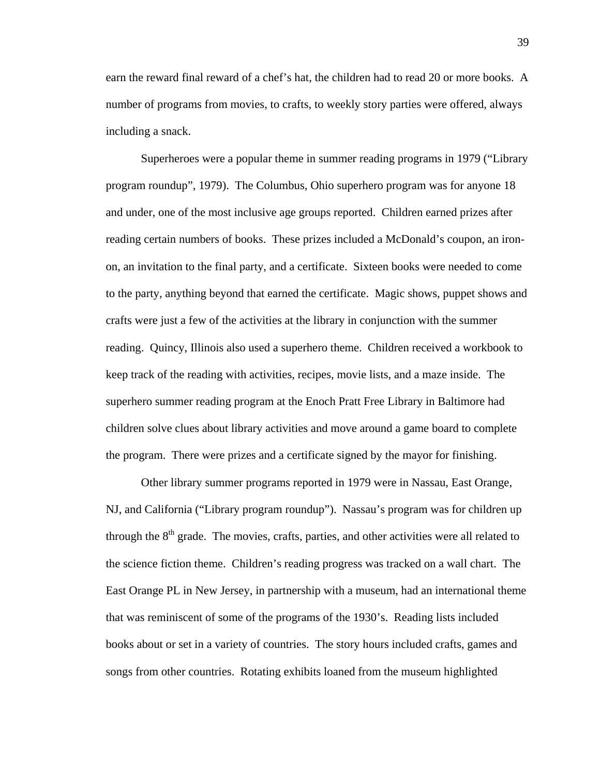earn the reward final reward of a chef's hat, the children had to read 20 or more books. A number of programs from movies, to crafts, to weekly story parties were offered, always including a snack.

 Superheroes were a popular theme in summer reading programs in 1979 ("Library program roundup", 1979). The Columbus, Ohio superhero program was for anyone 18 and under, one of the most inclusive age groups reported. Children earned prizes after reading certain numbers of books. These prizes included a McDonald's coupon, an ironon, an invitation to the final party, and a certificate. Sixteen books were needed to come to the party, anything beyond that earned the certificate. Magic shows, puppet shows and crafts were just a few of the activities at the library in conjunction with the summer reading. Quincy, Illinois also used a superhero theme. Children received a workbook to keep track of the reading with activities, recipes, movie lists, and a maze inside. The superhero summer reading program at the Enoch Pratt Free Library in Baltimore had children solve clues about library activities and move around a game board to complete the program. There were prizes and a certificate signed by the mayor for finishing.

 Other library summer programs reported in 1979 were in Nassau, East Orange, NJ, and California ("Library program roundup"). Nassau's program was for children up through the  $8<sup>th</sup>$  grade. The movies, crafts, parties, and other activities were all related to the science fiction theme. Children's reading progress was tracked on a wall chart. The East Orange PL in New Jersey, in partnership with a museum, had an international theme that was reminiscent of some of the programs of the 1930's. Reading lists included books about or set in a variety of countries. The story hours included crafts, games and songs from other countries. Rotating exhibits loaned from the museum highlighted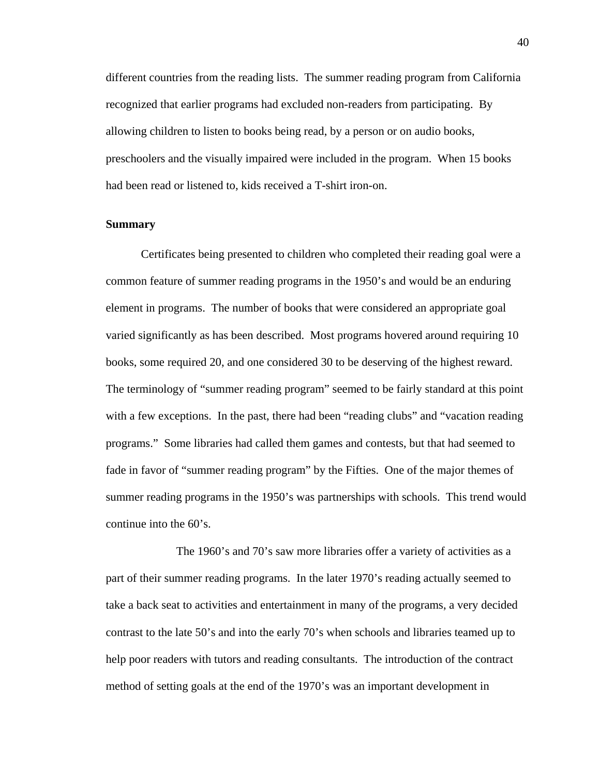different countries from the reading lists. The summer reading program from California recognized that earlier programs had excluded non-readers from participating. By allowing children to listen to books being read, by a person or on audio books, preschoolers and the visually impaired were included in the program. When 15 books had been read or listened to, kids received a T-shirt iron-on.

## **Summary**

Certificates being presented to children who completed their reading goal were a common feature of summer reading programs in the 1950's and would be an enduring element in programs. The number of books that were considered an appropriate goal varied significantly as has been described. Most programs hovered around requiring 10 books, some required 20, and one considered 30 to be deserving of the highest reward. The terminology of "summer reading program" seemed to be fairly standard at this point with a few exceptions. In the past, there had been "reading clubs" and "vacation reading programs." Some libraries had called them games and contests, but that had seemed to fade in favor of "summer reading program" by the Fifties. One of the major themes of summer reading programs in the 1950's was partnerships with schools. This trend would continue into the 60's.

 The 1960's and 70's saw more libraries offer a variety of activities as a part of their summer reading programs. In the later 1970's reading actually seemed to take a back seat to activities and entertainment in many of the programs, a very decided contrast to the late 50's and into the early 70's when schools and libraries teamed up to help poor readers with tutors and reading consultants. The introduction of the contract method of setting goals at the end of the 1970's was an important development in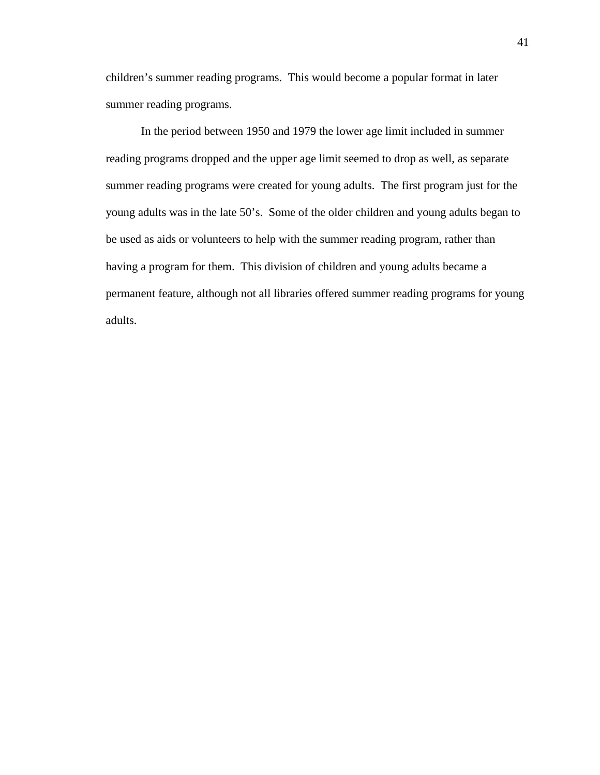children's summer reading programs. This would become a popular format in later summer reading programs.

In the period between 1950 and 1979 the lower age limit included in summer reading programs dropped and the upper age limit seemed to drop as well, as separate summer reading programs were created for young adults. The first program just for the young adults was in the late 50's. Some of the older children and young adults began to be used as aids or volunteers to help with the summer reading program, rather than having a program for them. This division of children and young adults became a permanent feature, although not all libraries offered summer reading programs for young adults.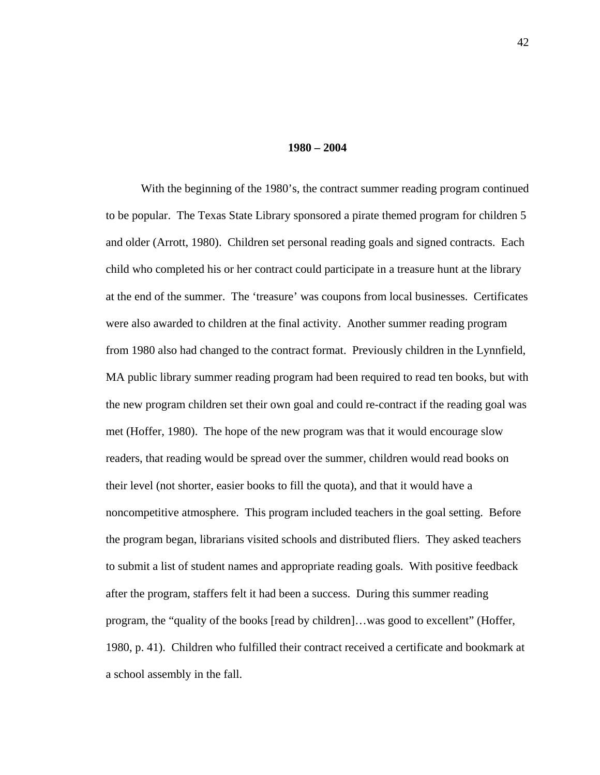#### **1980 – 2004**

 With the beginning of the 1980's, the contract summer reading program continued to be popular. The Texas State Library sponsored a pirate themed program for children 5 and older (Arrott, 1980). Children set personal reading goals and signed contracts. Each child who completed his or her contract could participate in a treasure hunt at the library at the end of the summer. The 'treasure' was coupons from local businesses. Certificates were also awarded to children at the final activity. Another summer reading program from 1980 also had changed to the contract format. Previously children in the Lynnfield, MA public library summer reading program had been required to read ten books, but with the new program children set their own goal and could re-contract if the reading goal was met (Hoffer, 1980). The hope of the new program was that it would encourage slow readers, that reading would be spread over the summer, children would read books on their level (not shorter, easier books to fill the quota), and that it would have a noncompetitive atmosphere. This program included teachers in the goal setting. Before the program began, librarians visited schools and distributed fliers. They asked teachers to submit a list of student names and appropriate reading goals. With positive feedback after the program, staffers felt it had been a success. During this summer reading program, the "quality of the books [read by children]…was good to excellent" (Hoffer, 1980, p. 41). Children who fulfilled their contract received a certificate and bookmark at a school assembly in the fall.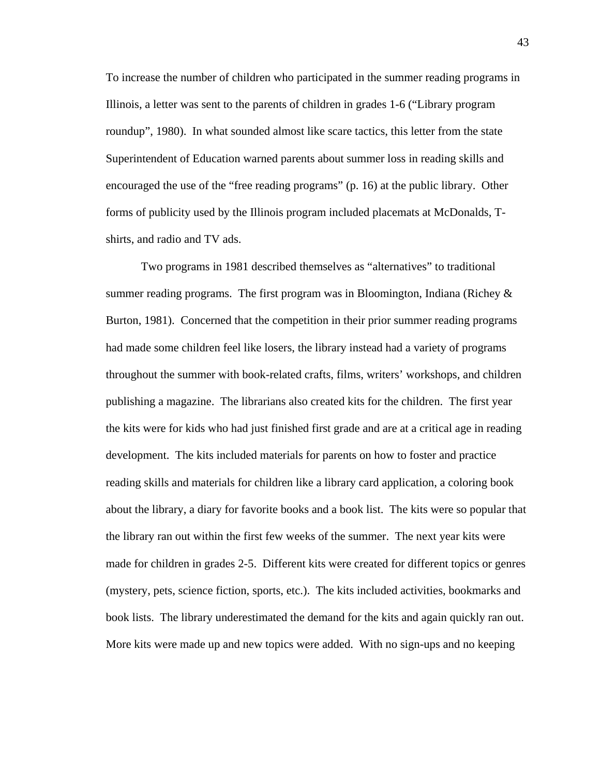To increase the number of children who participated in the summer reading programs in Illinois, a letter was sent to the parents of children in grades 1-6 ("Library program roundup", 1980). In what sounded almost like scare tactics, this letter from the state Superintendent of Education warned parents about summer loss in reading skills and encouraged the use of the "free reading programs" (p. 16) at the public library. Other forms of publicity used by the Illinois program included placemats at McDonalds, Tshirts, and radio and TV ads.

 Two programs in 1981 described themselves as "alternatives" to traditional summer reading programs. The first program was in Bloomington, Indiana (Richey  $\&$ Burton, 1981). Concerned that the competition in their prior summer reading programs had made some children feel like losers, the library instead had a variety of programs throughout the summer with book-related crafts, films, writers' workshops, and children publishing a magazine. The librarians also created kits for the children. The first year the kits were for kids who had just finished first grade and are at a critical age in reading development. The kits included materials for parents on how to foster and practice reading skills and materials for children like a library card application, a coloring book about the library, a diary for favorite books and a book list. The kits were so popular that the library ran out within the first few weeks of the summer. The next year kits were made for children in grades 2-5. Different kits were created for different topics or genres (mystery, pets, science fiction, sports, etc.). The kits included activities, bookmarks and book lists. The library underestimated the demand for the kits and again quickly ran out. More kits were made up and new topics were added. With no sign-ups and no keeping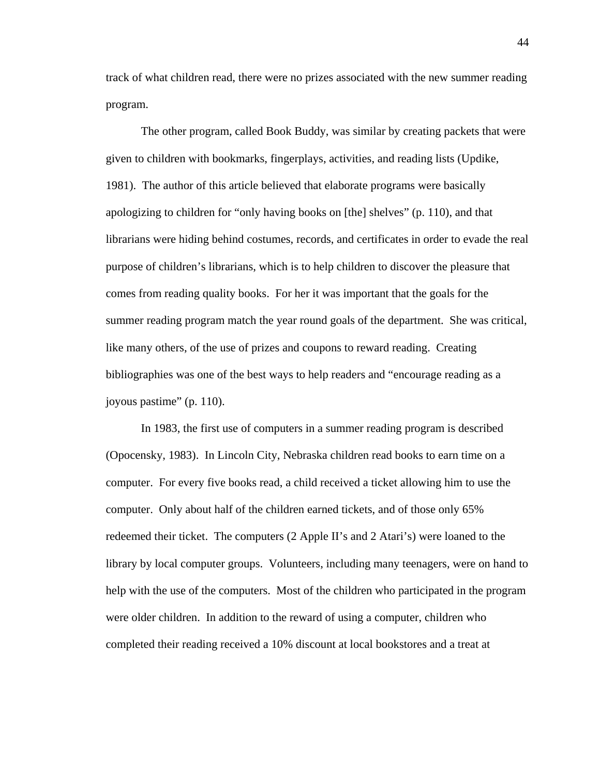track of what children read, there were no prizes associated with the new summer reading program.

 The other program, called Book Buddy, was similar by creating packets that were given to children with bookmarks, fingerplays, activities, and reading lists (Updike, 1981). The author of this article believed that elaborate programs were basically apologizing to children for "only having books on [the] shelves" (p. 110), and that librarians were hiding behind costumes, records, and certificates in order to evade the real purpose of children's librarians, which is to help children to discover the pleasure that comes from reading quality books. For her it was important that the goals for the summer reading program match the year round goals of the department. She was critical, like many others, of the use of prizes and coupons to reward reading. Creating bibliographies was one of the best ways to help readers and "encourage reading as a joyous pastime" (p. 110).

 In 1983, the first use of computers in a summer reading program is described (Opocensky, 1983). In Lincoln City, Nebraska children read books to earn time on a computer. For every five books read, a child received a ticket allowing him to use the computer. Only about half of the children earned tickets, and of those only 65% redeemed their ticket. The computers (2 Apple II's and 2 Atari's) were loaned to the library by local computer groups. Volunteers, including many teenagers, were on hand to help with the use of the computers. Most of the children who participated in the program were older children. In addition to the reward of using a computer, children who completed their reading received a 10% discount at local bookstores and a treat at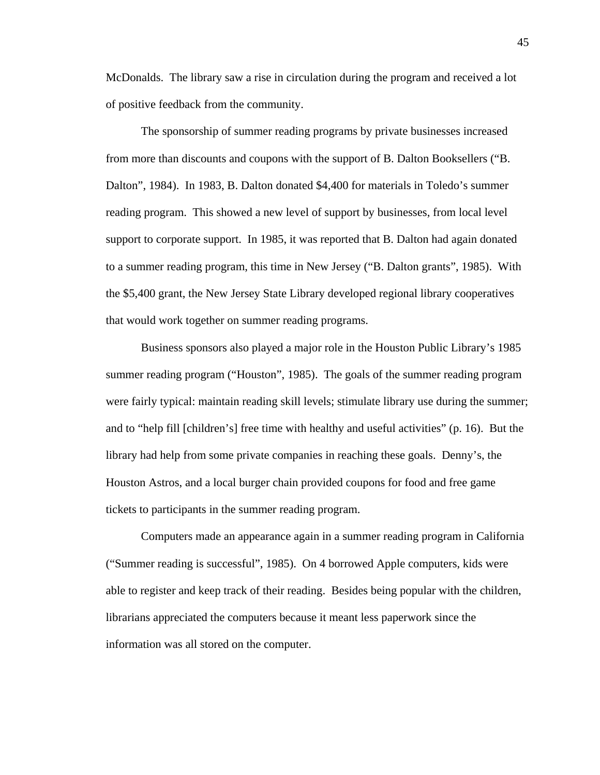McDonalds. The library saw a rise in circulation during the program and received a lot of positive feedback from the community.

 The sponsorship of summer reading programs by private businesses increased from more than discounts and coupons with the support of B. Dalton Booksellers ("B. Dalton", 1984). In 1983, B. Dalton donated \$4,400 for materials in Toledo's summer reading program. This showed a new level of support by businesses, from local level support to corporate support. In 1985, it was reported that B. Dalton had again donated to a summer reading program, this time in New Jersey ("B. Dalton grants", 1985). With the \$5,400 grant, the New Jersey State Library developed regional library cooperatives that would work together on summer reading programs.

 Business sponsors also played a major role in the Houston Public Library's 1985 summer reading program ("Houston", 1985). The goals of the summer reading program were fairly typical: maintain reading skill levels; stimulate library use during the summer; and to "help fill [children's] free time with healthy and useful activities" (p. 16). But the library had help from some private companies in reaching these goals. Denny's, the Houston Astros, and a local burger chain provided coupons for food and free game tickets to participants in the summer reading program.

 Computers made an appearance again in a summer reading program in California ("Summer reading is successful", 1985). On 4 borrowed Apple computers, kids were able to register and keep track of their reading. Besides being popular with the children, librarians appreciated the computers because it meant less paperwork since the information was all stored on the computer.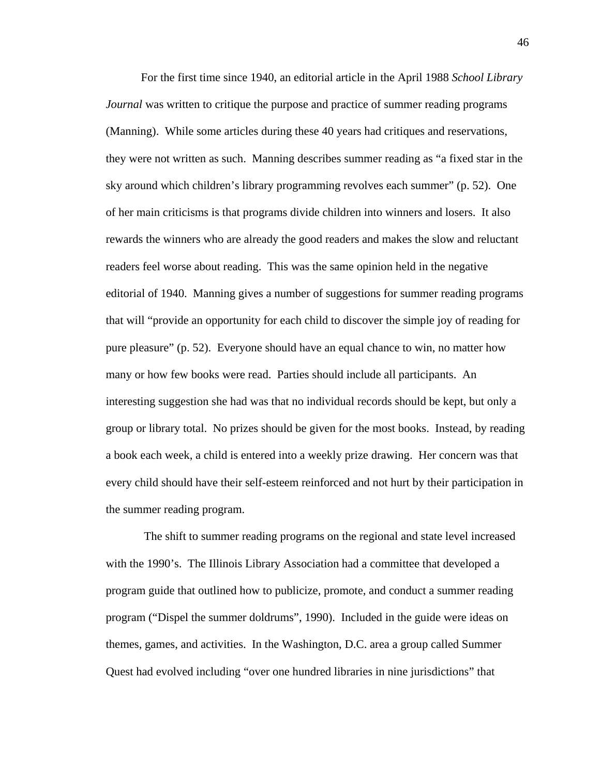For the first time since 1940, an editorial article in the April 1988 *School Library Journal* was written to critique the purpose and practice of summer reading programs (Manning). While some articles during these 40 years had critiques and reservations, they were not written as such. Manning describes summer reading as "a fixed star in the sky around which children's library programming revolves each summer" (p. 52). One of her main criticisms is that programs divide children into winners and losers. It also rewards the winners who are already the good readers and makes the slow and reluctant readers feel worse about reading. This was the same opinion held in the negative editorial of 1940. Manning gives a number of suggestions for summer reading programs that will "provide an opportunity for each child to discover the simple joy of reading for pure pleasure" (p. 52). Everyone should have an equal chance to win, no matter how many or how few books were read. Parties should include all participants. An interesting suggestion she had was that no individual records should be kept, but only a group or library total. No prizes should be given for the most books. Instead, by reading a book each week, a child is entered into a weekly prize drawing. Her concern was that every child should have their self-esteem reinforced and not hurt by their participation in the summer reading program.

 The shift to summer reading programs on the regional and state level increased with the 1990's. The Illinois Library Association had a committee that developed a program guide that outlined how to publicize, promote, and conduct a summer reading program ("Dispel the summer doldrums", 1990). Included in the guide were ideas on themes, games, and activities. In the Washington, D.C. area a group called Summer Quest had evolved including "over one hundred libraries in nine jurisdictions" that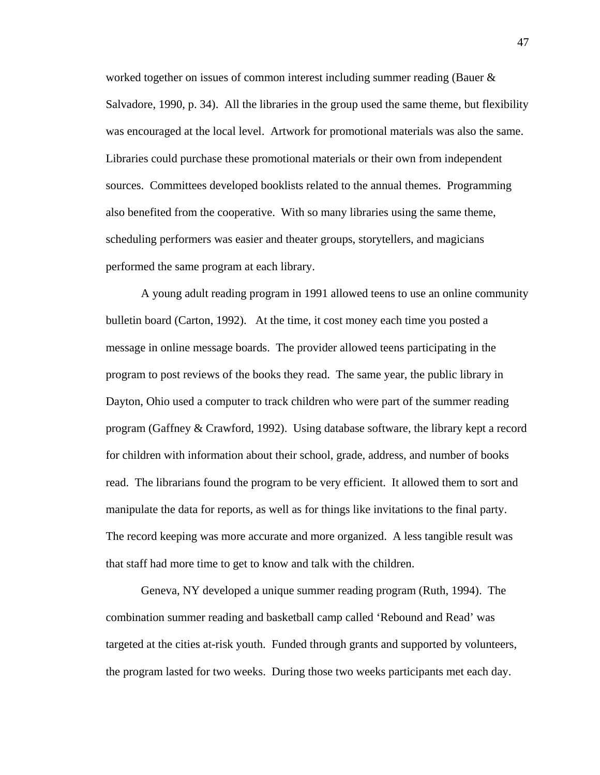worked together on issues of common interest including summer reading (Bauer & Salvadore, 1990, p. 34). All the libraries in the group used the same theme, but flexibility was encouraged at the local level. Artwork for promotional materials was also the same. Libraries could purchase these promotional materials or their own from independent sources. Committees developed booklists related to the annual themes. Programming also benefited from the cooperative. With so many libraries using the same theme, scheduling performers was easier and theater groups, storytellers, and magicians performed the same program at each library.

 A young adult reading program in 1991 allowed teens to use an online community bulletin board (Carton, 1992). At the time, it cost money each time you posted a message in online message boards. The provider allowed teens participating in the program to post reviews of the books they read. The same year, the public library in Dayton, Ohio used a computer to track children who were part of the summer reading program (Gaffney & Crawford, 1992). Using database software, the library kept a record for children with information about their school, grade, address, and number of books read. The librarians found the program to be very efficient. It allowed them to sort and manipulate the data for reports, as well as for things like invitations to the final party. The record keeping was more accurate and more organized. A less tangible result was that staff had more time to get to know and talk with the children.

 Geneva, NY developed a unique summer reading program (Ruth, 1994). The combination summer reading and basketball camp called 'Rebound and Read' was targeted at the cities at-risk youth. Funded through grants and supported by volunteers, the program lasted for two weeks. During those two weeks participants met each day.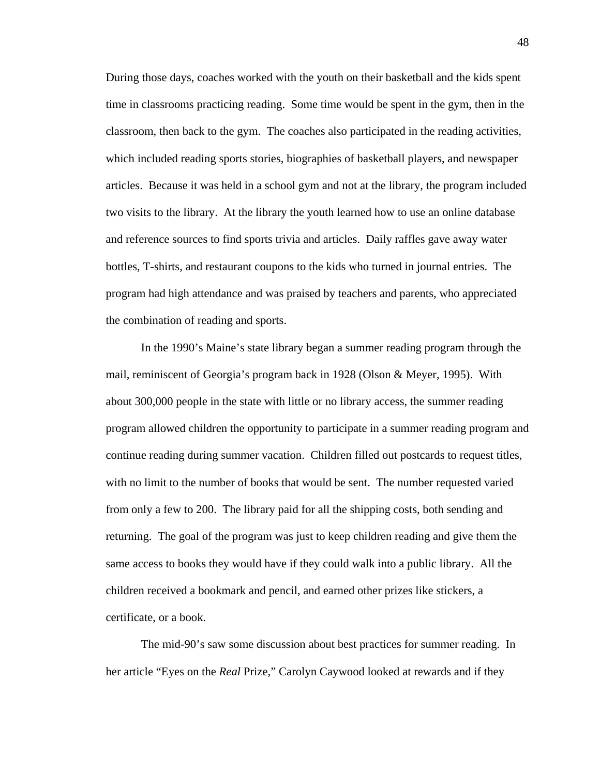During those days, coaches worked with the youth on their basketball and the kids spent time in classrooms practicing reading. Some time would be spent in the gym, then in the classroom, then back to the gym. The coaches also participated in the reading activities, which included reading sports stories, biographies of basketball players, and newspaper articles. Because it was held in a school gym and not at the library, the program included two visits to the library. At the library the youth learned how to use an online database and reference sources to find sports trivia and articles. Daily raffles gave away water bottles, T-shirts, and restaurant coupons to the kids who turned in journal entries. The program had high attendance and was praised by teachers and parents, who appreciated the combination of reading and sports.

 In the 1990's Maine's state library began a summer reading program through the mail, reminiscent of Georgia's program back in 1928 (Olson & Meyer, 1995). With about 300,000 people in the state with little or no library access, the summer reading program allowed children the opportunity to participate in a summer reading program and continue reading during summer vacation. Children filled out postcards to request titles, with no limit to the number of books that would be sent. The number requested varied from only a few to 200. The library paid for all the shipping costs, both sending and returning. The goal of the program was just to keep children reading and give them the same access to books they would have if they could walk into a public library. All the children received a bookmark and pencil, and earned other prizes like stickers, a certificate, or a book.

 The mid-90's saw some discussion about best practices for summer reading. In her article "Eyes on the *Real* Prize," Carolyn Caywood looked at rewards and if they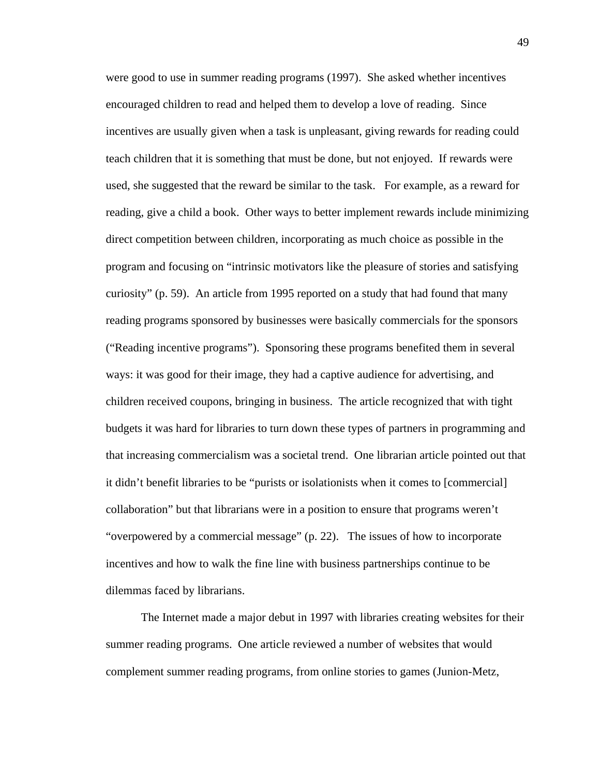were good to use in summer reading programs (1997). She asked whether incentives encouraged children to read and helped them to develop a love of reading. Since incentives are usually given when a task is unpleasant, giving rewards for reading could teach children that it is something that must be done, but not enjoyed. If rewards were used, she suggested that the reward be similar to the task. For example, as a reward for reading, give a child a book. Other ways to better implement rewards include minimizing direct competition between children, incorporating as much choice as possible in the program and focusing on "intrinsic motivators like the pleasure of stories and satisfying curiosity" (p. 59). An article from 1995 reported on a study that had found that many reading programs sponsored by businesses were basically commercials for the sponsors ("Reading incentive programs"). Sponsoring these programs benefited them in several ways: it was good for their image, they had a captive audience for advertising, and children received coupons, bringing in business. The article recognized that with tight budgets it was hard for libraries to turn down these types of partners in programming and that increasing commercialism was a societal trend. One librarian article pointed out that it didn't benefit libraries to be "purists or isolationists when it comes to [commercial] collaboration" but that librarians were in a position to ensure that programs weren't "overpowered by a commercial message" (p. 22). The issues of how to incorporate incentives and how to walk the fine line with business partnerships continue to be dilemmas faced by librarians.

 The Internet made a major debut in 1997 with libraries creating websites for their summer reading programs. One article reviewed a number of websites that would complement summer reading programs, from online stories to games (Junion-Metz,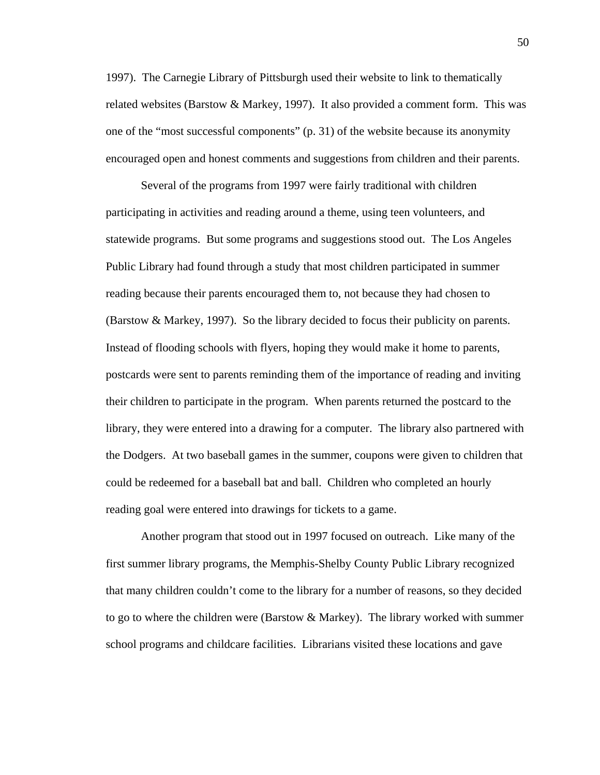1997). The Carnegie Library of Pittsburgh used their website to link to thematically related websites (Barstow & Markey, 1997). It also provided a comment form. This was one of the "most successful components" (p. 31) of the website because its anonymity encouraged open and honest comments and suggestions from children and their parents.

 Several of the programs from 1997 were fairly traditional with children participating in activities and reading around a theme, using teen volunteers, and statewide programs. But some programs and suggestions stood out. The Los Angeles Public Library had found through a study that most children participated in summer reading because their parents encouraged them to, not because they had chosen to (Barstow & Markey, 1997). So the library decided to focus their publicity on parents. Instead of flooding schools with flyers, hoping they would make it home to parents, postcards were sent to parents reminding them of the importance of reading and inviting their children to participate in the program. When parents returned the postcard to the library, they were entered into a drawing for a computer. The library also partnered with the Dodgers. At two baseball games in the summer, coupons were given to children that could be redeemed for a baseball bat and ball. Children who completed an hourly reading goal were entered into drawings for tickets to a game.

 Another program that stood out in 1997 focused on outreach. Like many of the first summer library programs, the Memphis-Shelby County Public Library recognized that many children couldn't come to the library for a number of reasons, so they decided to go to where the children were (Barstow & Markey). The library worked with summer school programs and childcare facilities. Librarians visited these locations and gave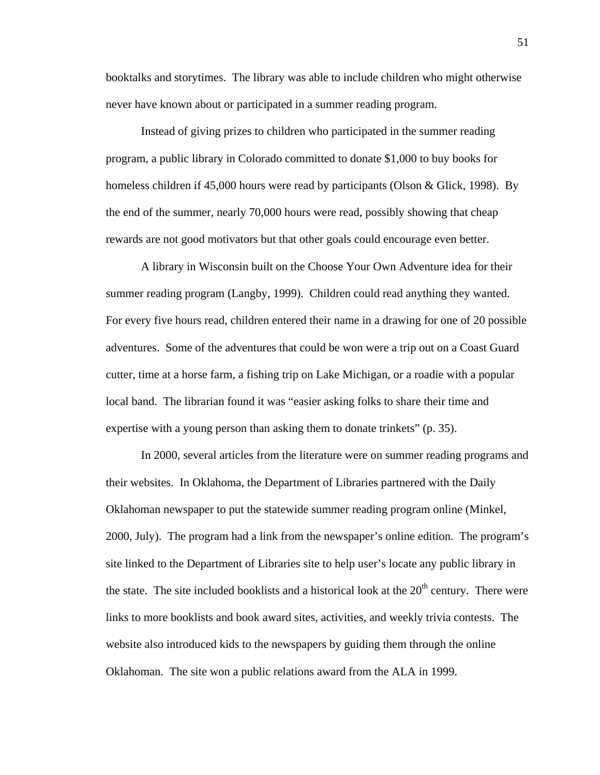booktalks and storytimes. The library was able to include children who might otherwise never have known about or participated in a summer reading program.

 Instead of giving prizes to children who participated in the summer reading program, a public library in Colorado committed to donate \$1,000 to buy books for homeless children if 45,000 hours were read by participants (Olson & Glick, 1998). By the end of the summer, nearly 70,000 hours were read, possibly showing that cheap rewards are not good motivators but that other goals could encourage even better.

 A library in Wisconsin built on the Choose Your Own Adventure idea for their summer reading program (Langby, 1999). Children could read anything they wanted. For every five hours read, children entered their name in a drawing for one of 20 possible adventures. Some of the adventures that could be won were a trip out on a Coast Guard cutter, time at a horse farm, a fishing trip on Lake Michigan, or a roadie with a popular local band. The librarian found it was "easier asking folks to share their time and expertise with a young person than asking them to donate trinkets" (p. 35).

 In 2000, several articles from the literature were on summer reading programs and their websites. In Oklahoma, the Department of Libraries partnered with the Daily Oklahoman newspaper to put the statewide summer reading program online (Minkel, 2000, July). The program had a link from the newspaper's online edition. The program's site linked to the Department of Libraries site to help user's locate any public library in the state. The site included booklists and a historical look at the  $20<sup>th</sup>$  century. There were links to more booklists and book award sites, activities, and weekly trivia contests. The website also introduced kids to the newspapers by guiding them through the online Oklahoman. The site won a public relations award from the ALA in 1999.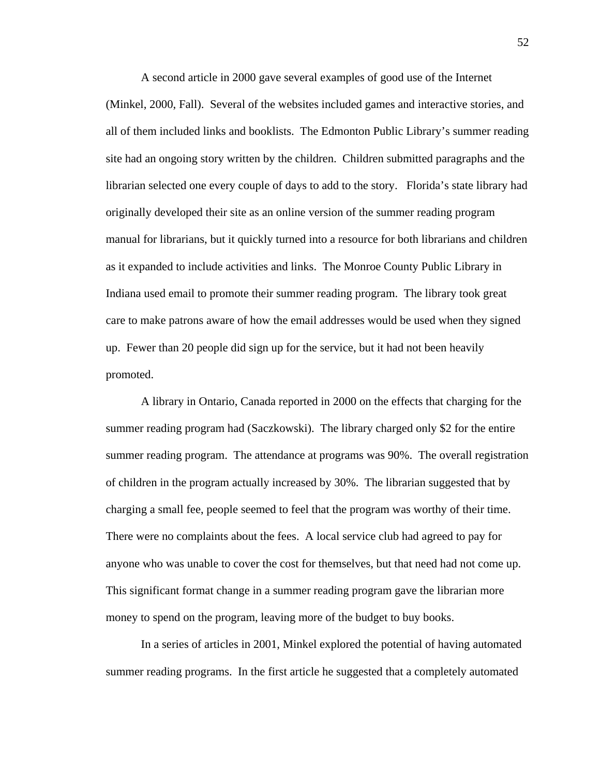A second article in 2000 gave several examples of good use of the Internet (Minkel, 2000, Fall). Several of the websites included games and interactive stories, and all of them included links and booklists. The Edmonton Public Library's summer reading site had an ongoing story written by the children. Children submitted paragraphs and the librarian selected one every couple of days to add to the story. Florida's state library had originally developed their site as an online version of the summer reading program manual for librarians, but it quickly turned into a resource for both librarians and children as it expanded to include activities and links. The Monroe County Public Library in Indiana used email to promote their summer reading program. The library took great care to make patrons aware of how the email addresses would be used when they signed up. Fewer than 20 people did sign up for the service, but it had not been heavily promoted.

 A library in Ontario, Canada reported in 2000 on the effects that charging for the summer reading program had (Saczkowski). The library charged only \$2 for the entire summer reading program. The attendance at programs was 90%. The overall registration of children in the program actually increased by 30%. The librarian suggested that by charging a small fee, people seemed to feel that the program was worthy of their time. There were no complaints about the fees. A local service club had agreed to pay for anyone who was unable to cover the cost for themselves, but that need had not come up. This significant format change in a summer reading program gave the librarian more money to spend on the program, leaving more of the budget to buy books.

 In a series of articles in 2001, Minkel explored the potential of having automated summer reading programs. In the first article he suggested that a completely automated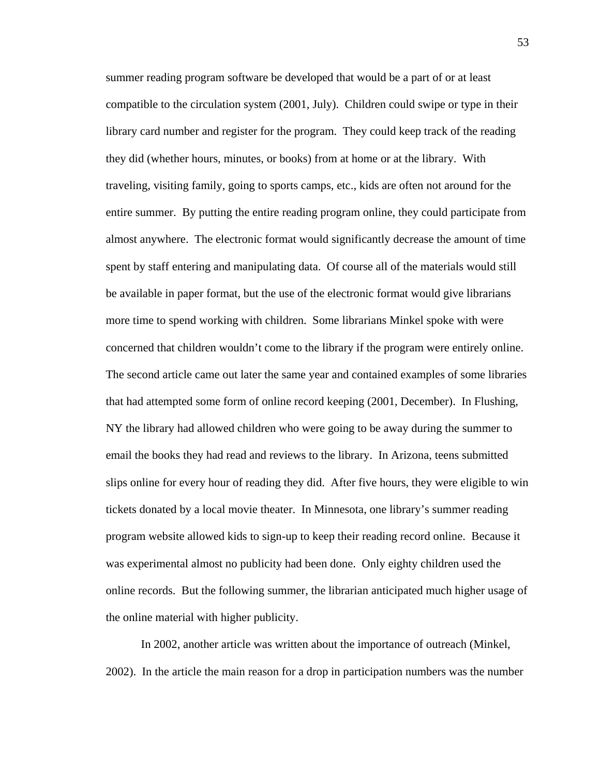summer reading program software be developed that would be a part of or at least compatible to the circulation system (2001, July). Children could swipe or type in their library card number and register for the program. They could keep track of the reading they did (whether hours, minutes, or books) from at home or at the library. With traveling, visiting family, going to sports camps, etc., kids are often not around for the entire summer. By putting the entire reading program online, they could participate from almost anywhere. The electronic format would significantly decrease the amount of time spent by staff entering and manipulating data. Of course all of the materials would still be available in paper format, but the use of the electronic format would give librarians more time to spend working with children. Some librarians Minkel spoke with were concerned that children wouldn't come to the library if the program were entirely online. The second article came out later the same year and contained examples of some libraries that had attempted some form of online record keeping (2001, December). In Flushing, NY the library had allowed children who were going to be away during the summer to email the books they had read and reviews to the library. In Arizona, teens submitted slips online for every hour of reading they did. After five hours, they were eligible to win tickets donated by a local movie theater. In Minnesota, one library's summer reading program website allowed kids to sign-up to keep their reading record online. Because it was experimental almost no publicity had been done. Only eighty children used the online records. But the following summer, the librarian anticipated much higher usage of the online material with higher publicity.

 In 2002, another article was written about the importance of outreach (Minkel, 2002). In the article the main reason for a drop in participation numbers was the number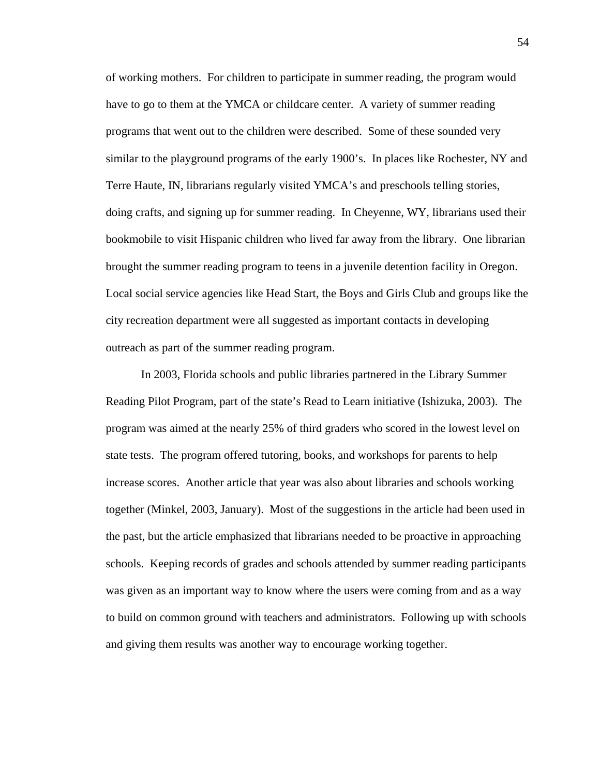of working mothers. For children to participate in summer reading, the program would have to go to them at the YMCA or childcare center. A variety of summer reading programs that went out to the children were described. Some of these sounded very similar to the playground programs of the early 1900's. In places like Rochester, NY and Terre Haute, IN, librarians regularly visited YMCA's and preschools telling stories, doing crafts, and signing up for summer reading. In Cheyenne, WY, librarians used their bookmobile to visit Hispanic children who lived far away from the library. One librarian brought the summer reading program to teens in a juvenile detention facility in Oregon. Local social service agencies like Head Start, the Boys and Girls Club and groups like the city recreation department were all suggested as important contacts in developing outreach as part of the summer reading program.

 In 2003, Florida schools and public libraries partnered in the Library Summer Reading Pilot Program, part of the state's Read to Learn initiative (Ishizuka, 2003). The program was aimed at the nearly 25% of third graders who scored in the lowest level on state tests. The program offered tutoring, books, and workshops for parents to help increase scores. Another article that year was also about libraries and schools working together (Minkel, 2003, January). Most of the suggestions in the article had been used in the past, but the article emphasized that librarians needed to be proactive in approaching schools. Keeping records of grades and schools attended by summer reading participants was given as an important way to know where the users were coming from and as a way to build on common ground with teachers and administrators. Following up with schools and giving them results was another way to encourage working together.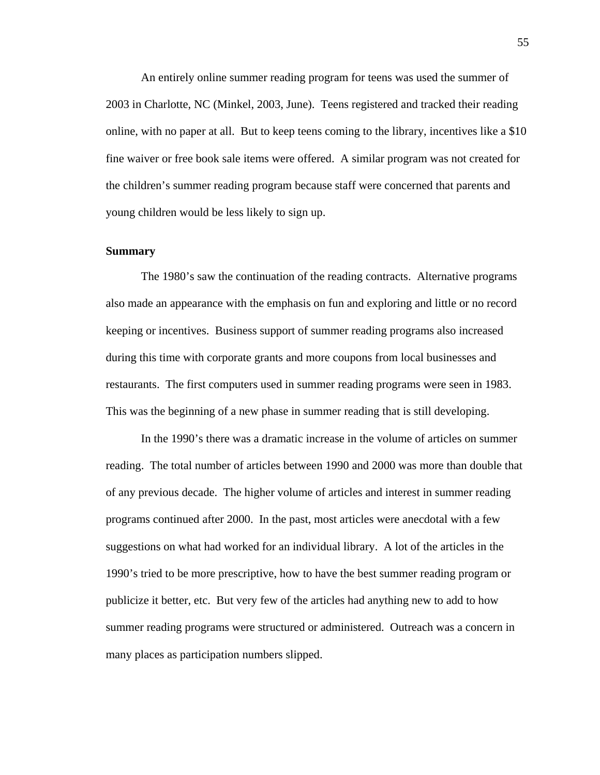An entirely online summer reading program for teens was used the summer of 2003 in Charlotte, NC (Minkel, 2003, June). Teens registered and tracked their reading online, with no paper at all. But to keep teens coming to the library, incentives like a \$10 fine waiver or free book sale items were offered. A similar program was not created for the children's summer reading program because staff were concerned that parents and young children would be less likely to sign up.

#### **Summary**

The 1980's saw the continuation of the reading contracts. Alternative programs also made an appearance with the emphasis on fun and exploring and little or no record keeping or incentives. Business support of summer reading programs also increased during this time with corporate grants and more coupons from local businesses and restaurants. The first computers used in summer reading programs were seen in 1983. This was the beginning of a new phase in summer reading that is still developing.

In the 1990's there was a dramatic increase in the volume of articles on summer reading. The total number of articles between 1990 and 2000 was more than double that of any previous decade. The higher volume of articles and interest in summer reading programs continued after 2000. In the past, most articles were anecdotal with a few suggestions on what had worked for an individual library. A lot of the articles in the 1990's tried to be more prescriptive, how to have the best summer reading program or publicize it better, etc. But very few of the articles had anything new to add to how summer reading programs were structured or administered. Outreach was a concern in many places as participation numbers slipped.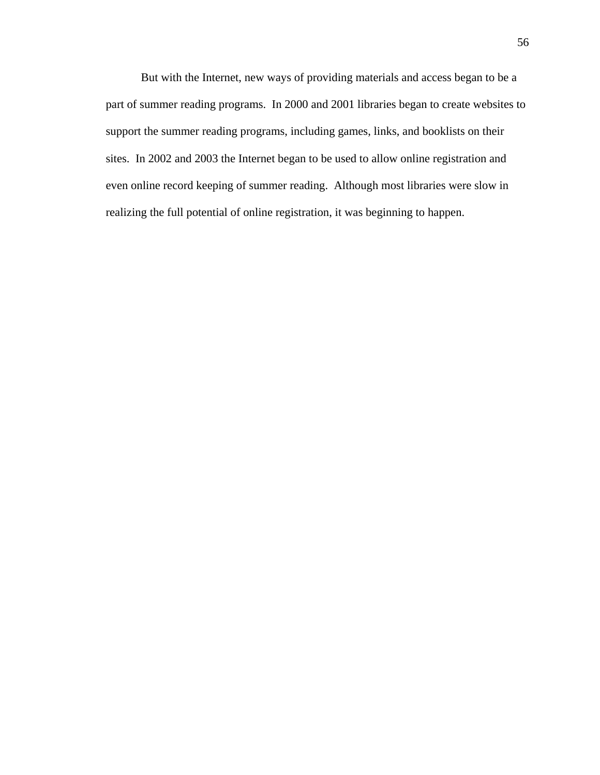But with the Internet, new ways of providing materials and access began to be a part of summer reading programs. In 2000 and 2001 libraries began to create websites to support the summer reading programs, including games, links, and booklists on their sites. In 2002 and 2003 the Internet began to be used to allow online registration and even online record keeping of summer reading. Although most libraries were slow in realizing the full potential of online registration, it was beginning to happen.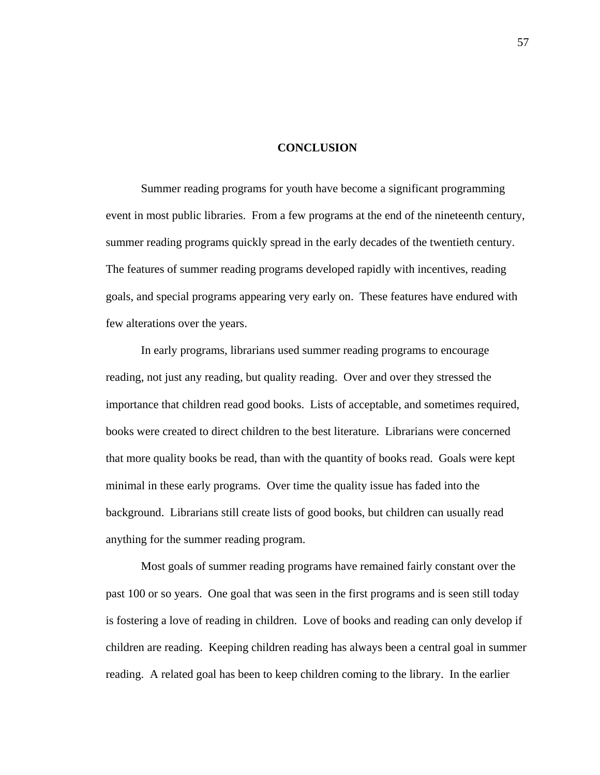### **CONCLUSION**

 Summer reading programs for youth have become a significant programming event in most public libraries. From a few programs at the end of the nineteenth century, summer reading programs quickly spread in the early decades of the twentieth century. The features of summer reading programs developed rapidly with incentives, reading goals, and special programs appearing very early on. These features have endured with few alterations over the years.

 In early programs, librarians used summer reading programs to encourage reading, not just any reading, but quality reading. Over and over they stressed the importance that children read good books. Lists of acceptable, and sometimes required, books were created to direct children to the best literature. Librarians were concerned that more quality books be read, than with the quantity of books read. Goals were kept minimal in these early programs. Over time the quality issue has faded into the background. Librarians still create lists of good books, but children can usually read anything for the summer reading program.

Most goals of summer reading programs have remained fairly constant over the past 100 or so years. One goal that was seen in the first programs and is seen still today is fostering a love of reading in children. Love of books and reading can only develop if children are reading. Keeping children reading has always been a central goal in summer reading. A related goal has been to keep children coming to the library. In the earlier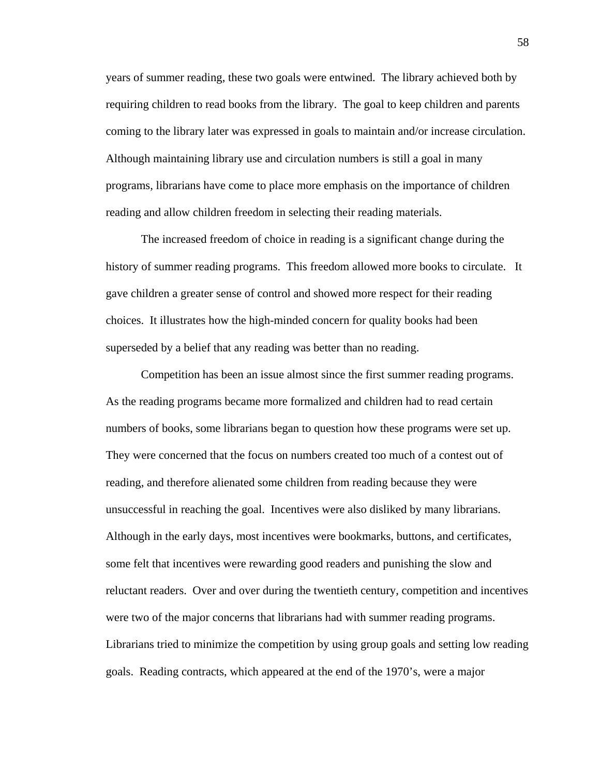years of summer reading, these two goals were entwined. The library achieved both by requiring children to read books from the library. The goal to keep children and parents coming to the library later was expressed in goals to maintain and/or increase circulation. Although maintaining library use and circulation numbers is still a goal in many programs, librarians have come to place more emphasis on the importance of children reading and allow children freedom in selecting their reading materials.

 The increased freedom of choice in reading is a significant change during the history of summer reading programs. This freedom allowed more books to circulate. It gave children a greater sense of control and showed more respect for their reading choices. It illustrates how the high-minded concern for quality books had been superseded by a belief that any reading was better than no reading.

 Competition has been an issue almost since the first summer reading programs. As the reading programs became more formalized and children had to read certain numbers of books, some librarians began to question how these programs were set up. They were concerned that the focus on numbers created too much of a contest out of reading, and therefore alienated some children from reading because they were unsuccessful in reaching the goal. Incentives were also disliked by many librarians. Although in the early days, most incentives were bookmarks, buttons, and certificates, some felt that incentives were rewarding good readers and punishing the slow and reluctant readers. Over and over during the twentieth century, competition and incentives were two of the major concerns that librarians had with summer reading programs. Librarians tried to minimize the competition by using group goals and setting low reading goals. Reading contracts, which appeared at the end of the 1970's, were a major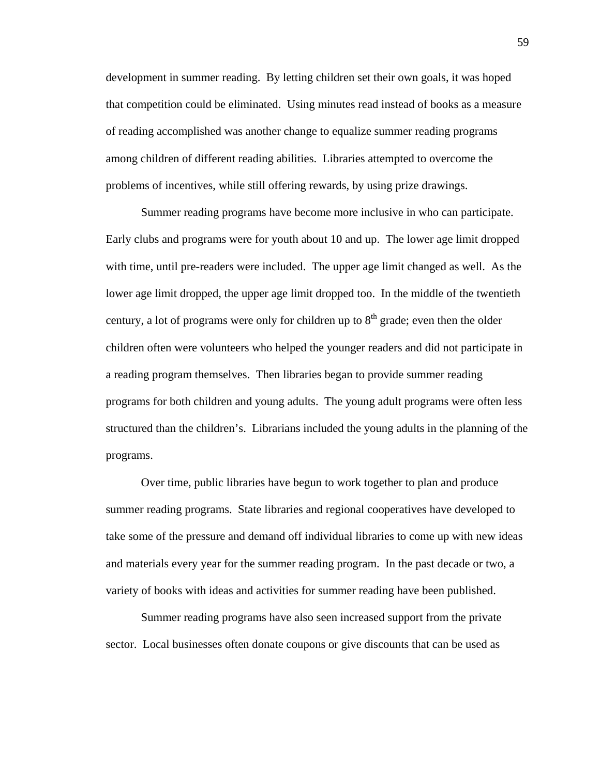development in summer reading. By letting children set their own goals, it was hoped that competition could be eliminated. Using minutes read instead of books as a measure of reading accomplished was another change to equalize summer reading programs among children of different reading abilities. Libraries attempted to overcome the problems of incentives, while still offering rewards, by using prize drawings.

 Summer reading programs have become more inclusive in who can participate. Early clubs and programs were for youth about 10 and up. The lower age limit dropped with time, until pre-readers were included. The upper age limit changed as well. As the lower age limit dropped, the upper age limit dropped too. In the middle of the twentieth century, a lot of programs were only for children up to  $8<sup>th</sup>$  grade; even then the older children often were volunteers who helped the younger readers and did not participate in a reading program themselves. Then libraries began to provide summer reading programs for both children and young adults. The young adult programs were often less structured than the children's. Librarians included the young adults in the planning of the programs.

 Over time, public libraries have begun to work together to plan and produce summer reading programs. State libraries and regional cooperatives have developed to take some of the pressure and demand off individual libraries to come up with new ideas and materials every year for the summer reading program. In the past decade or two, a variety of books with ideas and activities for summer reading have been published.

 Summer reading programs have also seen increased support from the private sector. Local businesses often donate coupons or give discounts that can be used as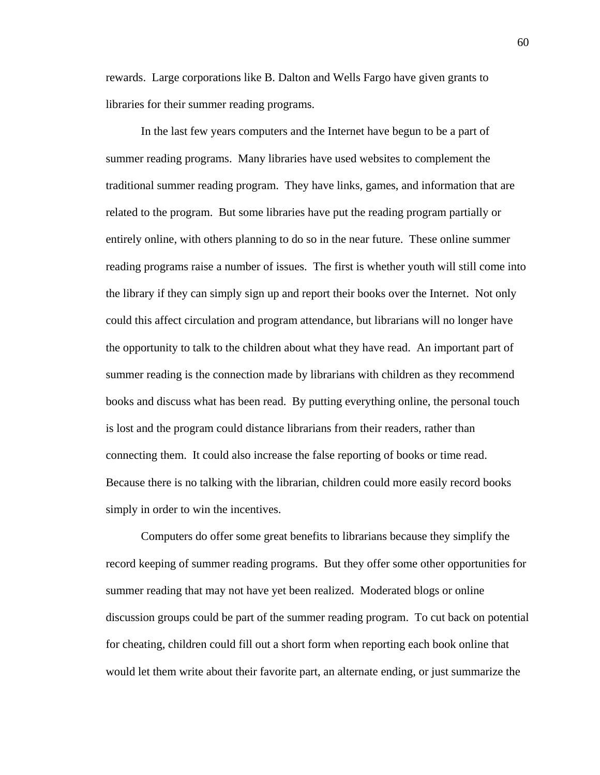rewards. Large corporations like B. Dalton and Wells Fargo have given grants to libraries for their summer reading programs.

 In the last few years computers and the Internet have begun to be a part of summer reading programs. Many libraries have used websites to complement the traditional summer reading program. They have links, games, and information that are related to the program. But some libraries have put the reading program partially or entirely online, with others planning to do so in the near future. These online summer reading programs raise a number of issues. The first is whether youth will still come into the library if they can simply sign up and report their books over the Internet. Not only could this affect circulation and program attendance, but librarians will no longer have the opportunity to talk to the children about what they have read. An important part of summer reading is the connection made by librarians with children as they recommend books and discuss what has been read. By putting everything online, the personal touch is lost and the program could distance librarians from their readers, rather than connecting them. It could also increase the false reporting of books or time read. Because there is no talking with the librarian, children could more easily record books simply in order to win the incentives.

 Computers do offer some great benefits to librarians because they simplify the record keeping of summer reading programs. But they offer some other opportunities for summer reading that may not have yet been realized. Moderated blogs or online discussion groups could be part of the summer reading program. To cut back on potential for cheating, children could fill out a short form when reporting each book online that would let them write about their favorite part, an alternate ending, or just summarize the

60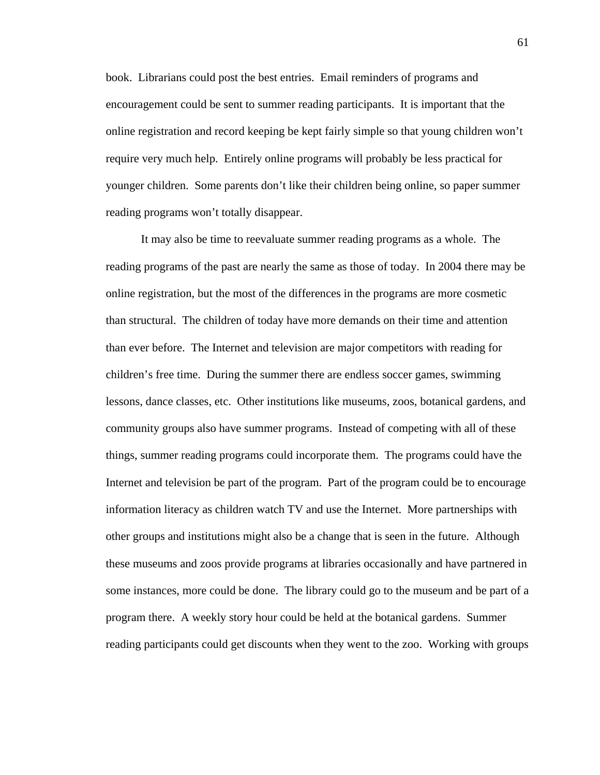book. Librarians could post the best entries. Email reminders of programs and encouragement could be sent to summer reading participants. It is important that the online registration and record keeping be kept fairly simple so that young children won't require very much help. Entirely online programs will probably be less practical for younger children. Some parents don't like their children being online, so paper summer reading programs won't totally disappear.

 It may also be time to reevaluate summer reading programs as a whole. The reading programs of the past are nearly the same as those of today. In 2004 there may be online registration, but the most of the differences in the programs are more cosmetic than structural. The children of today have more demands on their time and attention than ever before. The Internet and television are major competitors with reading for children's free time. During the summer there are endless soccer games, swimming lessons, dance classes, etc. Other institutions like museums, zoos, botanical gardens, and community groups also have summer programs. Instead of competing with all of these things, summer reading programs could incorporate them. The programs could have the Internet and television be part of the program. Part of the program could be to encourage information literacy as children watch TV and use the Internet. More partnerships with other groups and institutions might also be a change that is seen in the future. Although these museums and zoos provide programs at libraries occasionally and have partnered in some instances, more could be done. The library could go to the museum and be part of a program there. A weekly story hour could be held at the botanical gardens. Summer reading participants could get discounts when they went to the zoo. Working with groups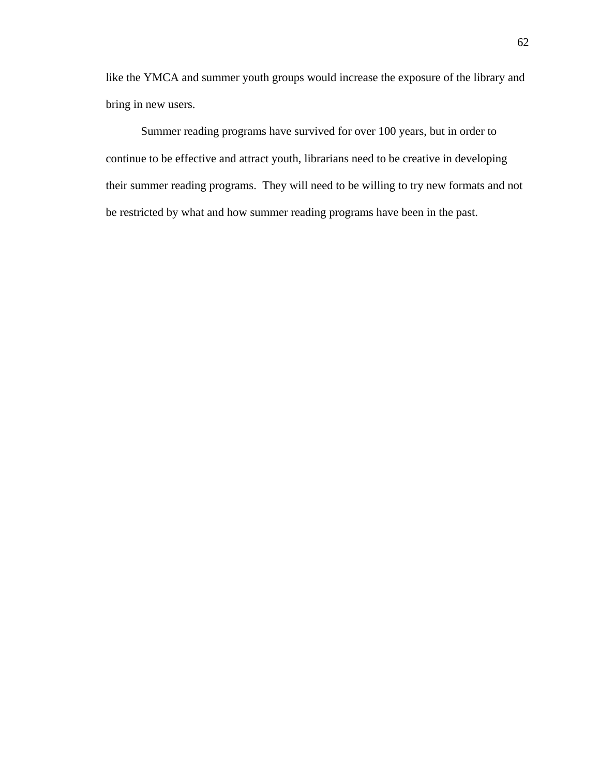like the YMCA and summer youth groups would increase the exposure of the library and bring in new users.

 Summer reading programs have survived for over 100 years, but in order to continue to be effective and attract youth, librarians need to be creative in developing their summer reading programs. They will need to be willing to try new formats and not be restricted by what and how summer reading programs have been in the past.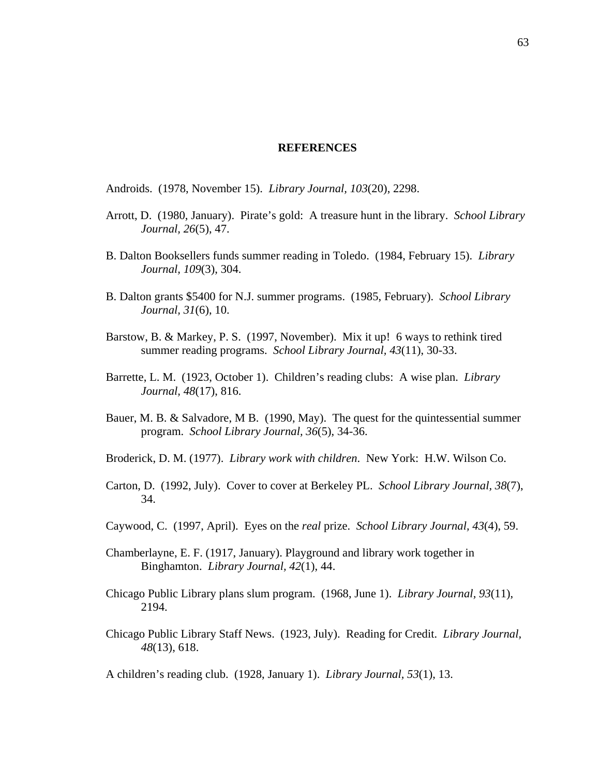#### **REFERENCES**

Androids. (1978, November 15). *Library Journal, 103*(20), 2298.

- Arrott, D. (1980, January). Pirate's gold: A treasure hunt in the library. *School Library Journal, 26*(5), 47.
- B. Dalton Booksellers funds summer reading in Toledo. (1984, February 15). *Library Journal, 109*(3), 304.
- B. Dalton grants \$5400 for N.J. summer programs. (1985, February). *School Library Journal, 31*(6), 10.
- Barstow, B. & Markey, P. S. (1997, November). Mix it up! 6 ways to rethink tired summer reading programs. *School Library Journal, 43*(11), 30-33.
- Barrette, L. M. (1923, October 1). Children's reading clubs: A wise plan. *Library Journal, 48*(17), 816.
- Bauer, M. B. & Salvadore, M B. (1990, May). The quest for the quintessential summer program. *School Library Journal, 36*(5), 34-36.
- Broderick, D. M. (1977). *Library work with children*. New York: H.W. Wilson Co.
- Carton, D. (1992, July). Cover to cover at Berkeley PL. *School Library Journal, 38*(7), 34.
- Caywood, C. (1997, April). Eyes on the *real* prize. *School Library Journal, 43*(4), 59.
- Chamberlayne, E. F. (1917, January). Playground and library work together in Binghamton. *Library Journal, 42*(1), 44.
- Chicago Public Library plans slum program. (1968, June 1). *Library Journal, 93*(11), 2194.
- Chicago Public Library Staff News. (1923, July). Reading for Credit. *Library Journal, 48*(13), 618.

A children's reading club. (1928, January 1). *Library Journal, 53*(1), 13.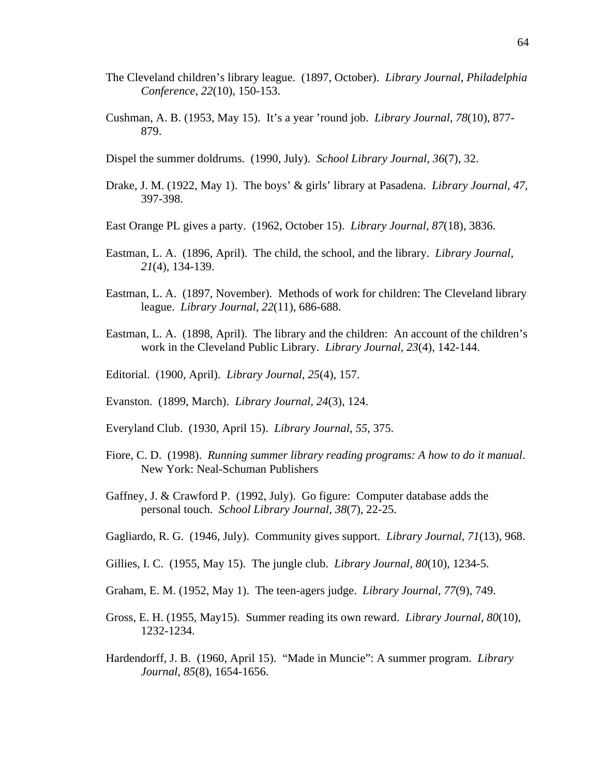- The Cleveland children's library league. (1897, October). *Library Journal, Philadelphia Conference, 22*(10), 150-153.
- Cushman, A. B. (1953, May 15). It's a year 'round job. *Library Journal, 78*(10), 877- 879.
- Dispel the summer doldrums. (1990, July). *School Library Journal, 36*(7), 32.
- Drake, J. M. (1922, May 1). The boys' & girls' library at Pasadena. *Library Journal, 47*, 397-398.
- East Orange PL gives a party. (1962, October 15). *Library Journal, 87*(18), 3836.
- Eastman, L. A. (1896, April). The child, the school, and the library. *Library Journal, 21*(4), 134-139.
- Eastman, L. A. (1897, November). Methods of work for children: The Cleveland library league. *Library Journal, 22*(11), 686-688.
- Eastman, L. A. (1898, April). The library and the children: An account of the children's work in the Cleveland Public Library. *Library Journal, 23*(4), 142-144.
- Editorial. (1900, April). *Library Journal, 25*(4), 157.
- Evanston. (1899, March). *Library Journal, 24*(3), 124.
- Everyland Club. (1930, April 15). *Library Journal, 55*, 375.
- Fiore, C. D. (1998). *Running summer library reading programs: A how to do it manual*. New York: Neal-Schuman Publishers
- Gaffney, J. & Crawford P. (1992, July). Go figure: Computer database adds the personal touch. *School Library Journal, 38*(7), 22-25.
- Gagliardo, R. G. (1946, July). Community gives support. *Library Journal, 71*(13), 968.
- Gillies, I. C. (1955, May 15). The jungle club. *Library Journal, 80*(10), 1234-5.
- Graham, E. M. (1952, May 1). The teen-agers judge. *Library Journal, 77*(9), 749.
- Gross, E. H. (1955, May15). Summer reading its own reward. *Library Journal, 80*(10), 1232-1234.
- Hardendorff, J. B. (1960, April 15). "Made in Muncie": A summer program. *Library Journal, 85*(8), 1654-1656.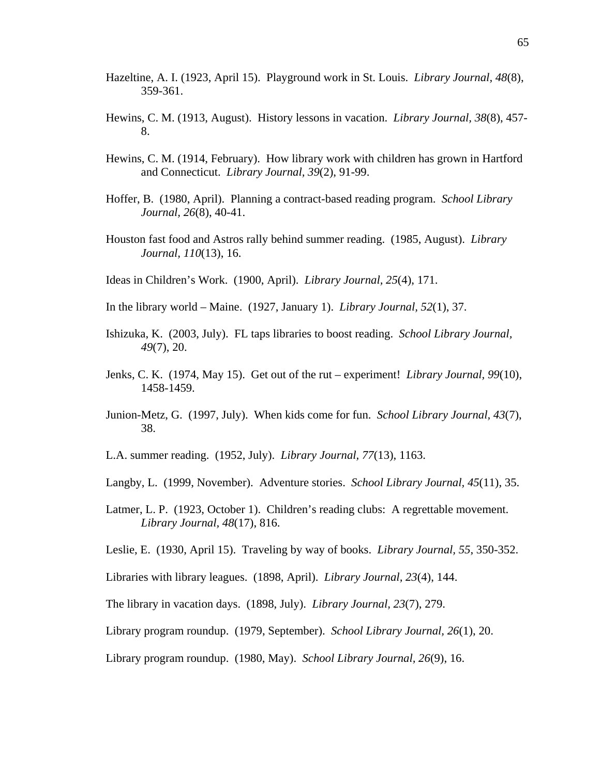- Hazeltine, A. I. (1923, April 15). Playground work in St. Louis. *Library Journal, 48*(8), 359-361.
- Hewins, C. M. (1913, August). History lessons in vacation. *Library Journal, 38*(8), 457- 8.
- Hewins, C. M. (1914, February). How library work with children has grown in Hartford and Connecticut. *Library Journal, 39*(2), 91-99.
- Hoffer, B. (1980, April). Planning a contract-based reading program. *School Library Journal, 26*(8), 40-41.
- Houston fast food and Astros rally behind summer reading. (1985, August). *Library Journal, 110*(13), 16.
- Ideas in Children's Work. (1900, April). *Library Journal, 25*(4), 171.
- In the library world Maine. (1927, January 1). *Library Journal, 52*(1), 37.
- Ishizuka, K. (2003, July). FL taps libraries to boost reading. *School Library Journal, 49*(7), 20.
- Jenks, C. K. (1974, May 15). Get out of the rut experiment! *Library Journal, 99*(10), 1458-1459.
- Junion-Metz, G. (1997, July). When kids come for fun. *School Library Journal, 43*(7), 38.
- L.A. summer reading. (1952, July). *Library Journal, 77*(13), 1163.
- Langby, L. (1999, November). Adventure stories. *School Library Journal, 45*(11), 35.
- Latmer, L. P. (1923, October 1). Children's reading clubs: A regrettable movement. *Library Journal, 48*(17), 816.
- Leslie, E. (1930, April 15). Traveling by way of books. *Library Journal, 55*, 350-352.
- Libraries with library leagues. (1898, April). *Library Journal, 23*(4), 144.
- The library in vacation days. (1898, July). *Library Journal, 23*(7), 279.
- Library program roundup. (1979, September). *School Library Journal, 26*(1), 20.
- Library program roundup. (1980, May). *School Library Journal, 26*(9), 16.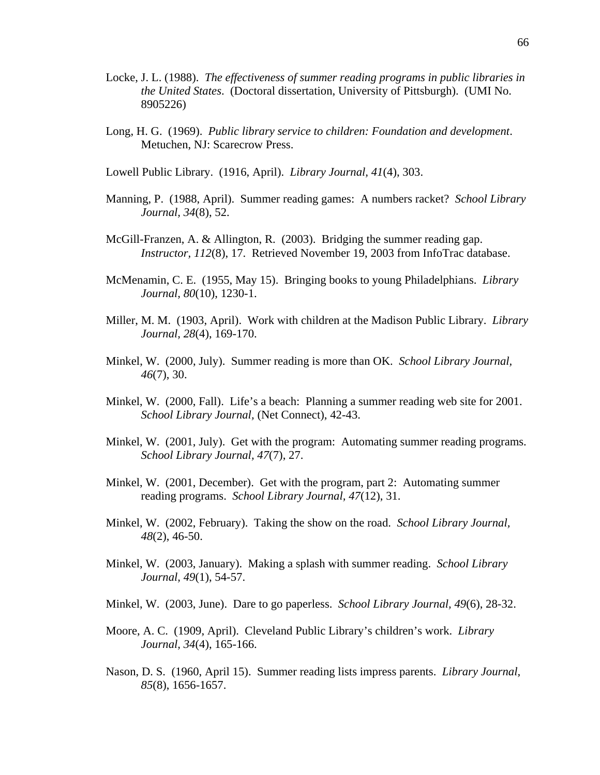- Locke, J. L. (1988). *The effectiveness of summer reading programs in public libraries in the United States*. (Doctoral dissertation, University of Pittsburgh). (UMI No. 8905226)
- Long, H. G. (1969). *Public library service to children: Foundation and development*. Metuchen, NJ: Scarecrow Press.
- Lowell Public Library. (1916, April). *Library Journal, 41*(4), 303.
- Manning, P. (1988, April). Summer reading games: A numbers racket? *School Library Journal, 34*(8), 52.
- McGill-Franzen, A. & Allington, R. (2003). Bridging the summer reading gap. *Instructor, 112*(8), 17. Retrieved November 19, 2003 from InfoTrac database.
- McMenamin, C. E. (1955, May 15). Bringing books to young Philadelphians. *Library Journal, 80*(10), 1230-1.
- Miller, M. M. (1903, April). Work with children at the Madison Public Library. *Library Journal, 28*(4), 169-170.
- Minkel, W. (2000, July). Summer reading is more than OK. *School Library Journal, 46*(7), 30.
- Minkel, W. (2000, Fall). Life's a beach: Planning a summer reading web site for 2001. *School Library Journal,* (Net Connect), 42-43.
- Minkel, W. (2001, July). Get with the program: Automating summer reading programs. *School Library Journal, 47*(7), 27.
- Minkel, W. (2001, December). Get with the program, part 2: Automating summer reading programs. *School Library Journal, 47*(12), 31.
- Minkel, W. (2002, February). Taking the show on the road. *School Library Journal, 48*(2), 46-50.
- Minkel, W. (2003, January). Making a splash with summer reading. *School Library Journal, 49*(1), 54-57.
- Minkel, W. (2003, June). Dare to go paperless. *School Library Journal, 49*(6), 28-32.
- Moore, A. C. (1909, April). Cleveland Public Library's children's work. *Library Journal, 34*(4), 165-166.
- Nason, D. S. (1960, April 15). Summer reading lists impress parents. *Library Journal, 85*(8), 1656-1657.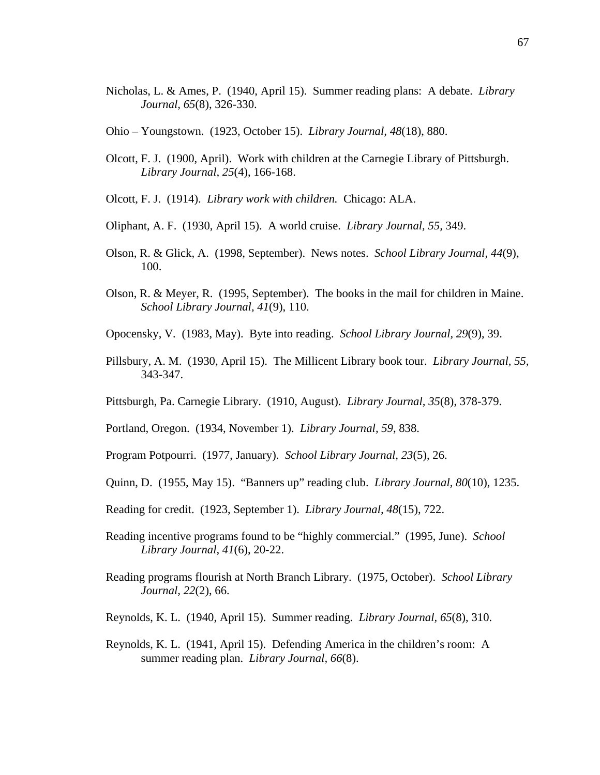- Nicholas, L. & Ames, P. (1940, April 15). Summer reading plans: A debate. *Library Journal, 65*(8), 326-330.
- Ohio Youngstown. (1923, October 15). *Library Journal, 48*(18), 880.
- Olcott, F. J. (1900, April). Work with children at the Carnegie Library of Pittsburgh. *Library Journal, 25*(4), 166-168.
- Olcott, F. J. (1914). *Library work with children.* Chicago: ALA.
- Oliphant, A. F. (1930, April 15). A world cruise. *Library Journal, 55,* 349.
- Olson, R. & Glick, A. (1998, September). News notes. *School Library Journal, 44*(9), 100.
- Olson, R. & Meyer, R. (1995, September). The books in the mail for children in Maine. *School Library Journal, 41*(9), 110.
- Opocensky, V*.* (1983, May). Byte into reading. *School Library Journal, 29*(9), 39.
- Pillsbury, A. M. (1930, April 15). The Millicent Library book tour. *Library Journal, 55,* 343-347.
- Pittsburgh, Pa. Carnegie Library. (1910, August). *Library Journal, 35*(8), 378-379.
- Portland, Oregon. (1934, November 1). *Library Journal, 59*, 838.
- Program Potpourri. (1977, January). *School Library Journal, 23*(5), 26.
- Quinn, D. (1955, May 15). "Banners up" reading club. *Library Journal, 80*(10), 1235.
- Reading for credit. (1923, September 1). *Library Journal, 48*(15), 722.
- Reading incentive programs found to be "highly commercial." (1995, June). *School Library Journal, 41*(6), 20-22.
- Reading programs flourish at North Branch Library. (1975, October). *School Library Journal, 22*(2), 66.
- Reynolds, K. L. (1940, April 15). Summer reading. *Library Journal, 65*(8), 310.
- Reynolds, K. L. (1941, April 15). Defending America in the children's room: A summer reading plan. *Library Journal, 66*(8).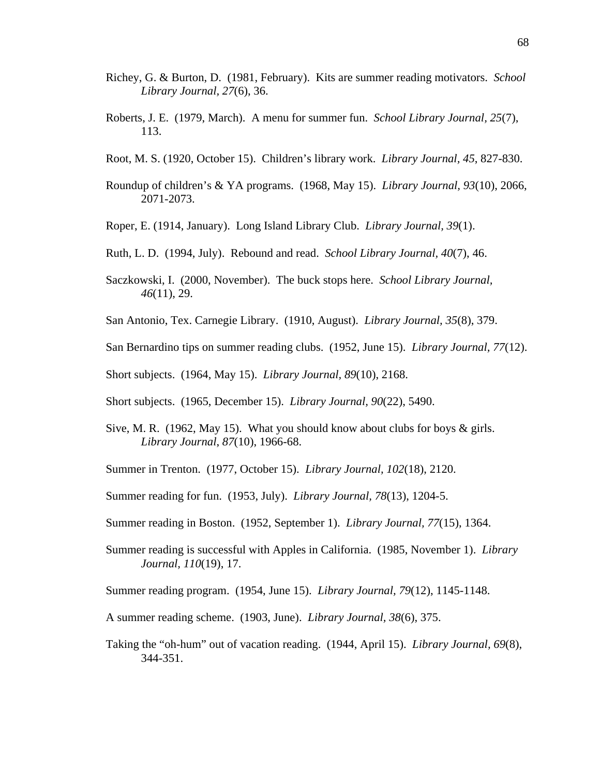- Richey, G. & Burton, D. (1981, February). Kits are summer reading motivators. *School Library Journal, 27*(6), 36.
- Roberts, J. E. (1979, March). A menu for summer fun. *School Library Journal, 25*(7), 113.
- Root, M. S. (1920, October 15). Children's library work. *Library Journal, 45*, 827-830.
- Roundup of children's & YA programs. (1968, May 15). *Library Journal, 93*(10), 2066, 2071-2073.
- Roper, E. (1914, January). Long Island Library Club. *Library Journal, 39*(1).
- Ruth, L. D. (1994, July). Rebound and read. *School Library Journal, 40*(7), 46.
- Saczkowski, I. (2000, November). The buck stops here. *School Library Journal, 46*(11), 29.
- San Antonio, Tex. Carnegie Library. (1910, August). *Library Journal, 35*(8), 379.
- San Bernardino tips on summer reading clubs. (1952, June 15). *Library Journal, 77*(12).
- Short subjects. (1964, May 15). *Library Journal, 89*(10), 2168.
- Short subjects. (1965, December 15). *Library Journal, 90*(22), 5490.
- Sive, M. R. (1962, May 15). What you should know about clubs for boys  $\&$  girls. *Library Journal*, *87*(10), 1966-68.
- Summer in Trenton. (1977, October 15). *Library Journal, 102*(18), 2120.
- Summer reading for fun. (1953, July). *Library Journal, 78*(13), 1204-5.
- Summer reading in Boston. (1952, September 1). *Library Journal, 77*(15), 1364.
- Summer reading is successful with Apples in California. (1985, November 1). *Library Journal, 110*(19), 17.
- Summer reading program. (1954, June 15). *Library Journal, 79*(12), 1145-1148.
- A summer reading scheme. (1903, June). *Library Journal, 38*(6), 375.
- Taking the "oh-hum" out of vacation reading. (1944, April 15). *Library Journal, 69*(8), 344-351.